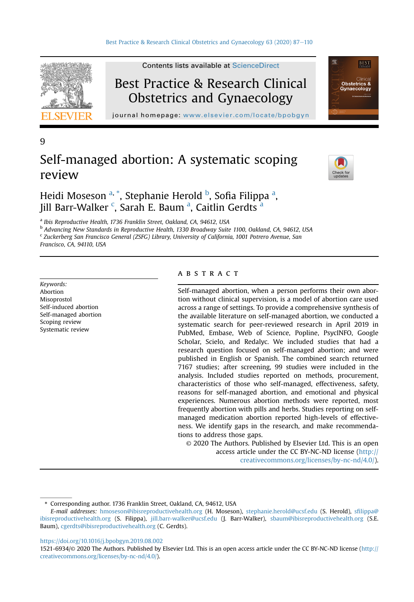

9

Contents lists available at [ScienceDirect](www.sciencedirect.com/science/journal/15216934)

# Best Practice & Research Clinical Obstetrics and Gynaecology

journal homepage: [www.elsevier.com/locate/bpobgyn](http://www.elsevier.com/locate/bpobgyn)

# Self-managed abortion: A systematic scoping review



**BEST** 

**Obstetri** 

# Heidi Moseson <sup>[a](#page-0-0), \*</sup>, Stephanie Herold <sup>[b](#page-0-1)</sup>, Sofia Filippa <sup>a</sup>, Jill Barr-Walker <sup>[c](#page-0-2)</sup>, S[a](#page-0-0)rah E. Baum <sup>a</sup>, Caitlin Gerdts <sup>a</sup>

<span id="page-0-0"></span><sup>a</sup> Ibis Reproductive Health, 1736 Franklin Street, Oakland, CA, 94612, USA

<span id="page-0-1"></span><sup>b</sup> Advancing New Standards in Reproductive Health, 1330 Broadway Suite 1100, Oakland, CA, 94612, USA <sup>c</sup> Zuckerberg San Francisco General (ZSFG) Library, University of California, 1001 Potrero Avenue, San

<span id="page-0-2"></span>Francisco, CA, 94110, USA

Keywords: Abortion Misoprostol Self-induced abortion Self-managed abortion Scoping review Systematic review

# **ABSTRACT**

Self-managed abortion, when a person performs their own abortion without clinical supervision, is a model of abortion care used across a range of settings. To provide a comprehensive synthesis of the available literature on self-managed abortion, we conducted a systematic search for peer-reviewed research in April 2019 in PubMed, Embase, Web of Science, Popline, PsycINFO, Google Scholar, Scielo, and Redalyc. We included studies that had a research question focused on self-managed abortion; and were published in English or Spanish. The combined search returned 7167 studies; after screening, 99 studies were included in the analysis. Included studies reported on methods, procurement, characteristics of those who self-managed, effectiveness, safety, reasons for self-managed abortion, and emotional and physical experiences. Numerous abortion methods were reported, most frequently abortion with pills and herbs. Studies reporting on selfmanaged medication abortion reported high-levels of effectiveness. We identify gaps in the research, and make recommendations to address those gaps.

© 2020 The Authors. Published by Elsevier Ltd. This is an open access article under the CC BY-NC-ND license ([http://](http://creativecommons.org/licenses/by-nc-nd/4.0/) [creativecommons.org/licenses/by-nc-nd/4.0/](http://creativecommons.org/licenses/by-nc-nd/4.0/)).

<sup>\*</sup> Corresponding author. 1736 Franklin Street, Oakland, CA, 94612, USA

E-mail addresses: [hmoseson@ibisreproductivehealth.org](mailto:hmoseson@ibisreproductivehealth.org) (H. Moseson), [stephanie.herold@ucsf.edu](mailto:stephanie.herold@ucsf.edu) (S. Herold), sfi[lippa@](mailto:sfilippa@ibisreproductivehealth.org) [ibisreproductivehealth.org](mailto:sfilippa@ibisreproductivehealth.org) (S. Filippa), [jill.barr-walker@ucsf.edu](mailto:jill.barr-walker@ucsf.edu) (J. Barr-Walker), [sbaum@ibisreproductivehealth.org](mailto:sbaum@ibisreproductivehealth.org) (S.E. Baum), [cgerdts@ibisreproductivehealth.org](mailto:cgerdts@ibisreproductivehealth.org) (C. Gerdts).

<https://doi.org/10.1016/j.bpobgyn.2019.08.002>

<sup>1521-6934/</sup>© 2020 The Authors. Published by Elsevier Ltd. This is an open access article under the CC BY-NC-ND license ([http://](http://creativecommons.org/licenses/by-nc-nd/4.0/) [creativecommons.org/licenses/by-nc-nd/4.0/](http://creativecommons.org/licenses/by-nc-nd/4.0/)).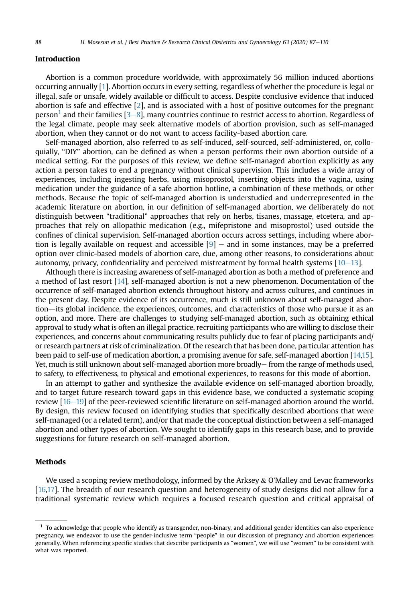# Introduction

Abortion is a common procedure worldwide, with approximately 56 million induced abortions occurring annually [\[1\]](#page-19-0). Abortion occurs in every setting, regardless of whether the procedure is legal or illegal, safe or unsafe, widely available or difficult to access. Despite conclusive evidence that induced abortion is safe and effective [\[2](#page-19-1)], and is associated with a host of positive outcomes for the pregnant person<sup>[1](#page-1-0)</sup> and their families  $[3-8]$  $[3-8]$  $[3-8]$ , many countries continue to restrict access to abortion. Regardless of the legal climate, people may seek alternative models of abortion provision, such as self-managed abortion, when they cannot or do not want to access facility-based abortion care.

Self-managed abortion, also referred to as self-induced, self-sourced, self-administered, or, colloquially, "DIY" abortion, can be defined as when a person performs their own abortion outside of a medical setting. For the purposes of this review, we define self-managed abortion explicitly as any action a person takes to end a pregnancy without clinical supervision. This includes a wide array of experiences, including ingesting herbs, using misoprostol, inserting objects into the vagina, using medication under the guidance of a safe abortion hotline, a combination of these methods, or other methods. Because the topic of self-managed abortion is understudied and underrepresented in the academic literature on abortion, in our definition of self-managed abortion, we deliberately do not distinguish between "traditional" approaches that rely on herbs, tisanes, massage, etcetera, and approaches that rely on allopathic medication (e.g., mifepristone and misoprostol) used outside the confines of clinical supervision. Self-managed abortion occurs across settings, including where abortion is legally available on request and accessible  $[9]$  $[9]$  – and in some instances, may be a preferred option over clinic-based models of abortion care, due, among other reasons, to considerations about autonomy, privacy, confidentiality and perceived mistreatment by formal health systems  $[10-13]$  $[10-13]$  $[10-13]$  $[10-13]$ .

Although there is increasing awareness of self-managed abortion as both a method of preference and a method of last resort [\[14\]](#page-20-2), self-managed abortion is not a new phenomenon. Documentation of the occurrence of self-managed abortion extends throughout history and across cultures, and continues in the present day. Despite evidence of its occurrence, much is still unknown about self-managed abortion—its global incidence, the experiences, outcomes, and characteristics of those who pursue it as an option, and more. There are challenges to studying self-managed abortion, such as obtaining ethical approval to study what is often an illegal practice, recruiting participants who are willing to disclose their experiences, and concerns about communicating results publicly due to fear of placing participants and/ or research partners at risk of criminalization. Of the research that has been done, particular attention has been paid to self-use of medication abortion, a promising avenue for safe, self-managed abortion [\[14,](#page-20-2)[15\]](#page-20-3). Yet, much is still unknown about self-managed abortion more broadly $-$  from the range of methods used, to safety, to effectiveness, to physical and emotional experiences, to reasons for this mode of abortion.

In an attempt to gather and synthesize the available evidence on self-managed abortion broadly, and to target future research toward gaps in this evidence base, we conducted a systematic scoping review  $[16-19]$  $[16-19]$  $[16-19]$  $[16-19]$  of the peer-reviewed scientific literature on self-managed abortion around the world. By design, this review focused on identifying studies that specifically described abortions that were self-managed (or a related term), and/or that made the conceptual distinction between a self-managed abortion and other types of abortion. We sought to identify gaps in this research base, and to provide suggestions for future research on self-managed abortion.

### Methods

We used a scoping review methodology, informed by the Arksey  $&$  O'Malley and Levac frameworks [[16,](#page-20-4)[17\]](#page-20-5). The breadth of our research question and heterogeneity of study designs did not allow for a traditional systematic review which requires a focused research question and critical appraisal of

<span id="page-1-0"></span> $<sup>1</sup>$  To acknowledge that people who identify as transgender, non-binary, and additional gender identities can also experience</sup> pregnancy, we endeavor to use the gender-inclusive term "people" in our discussion of pregnancy and abortion experiences generally. When referencing specific studies that describe participants as "women", we will use "women" to be consistent with what was reported.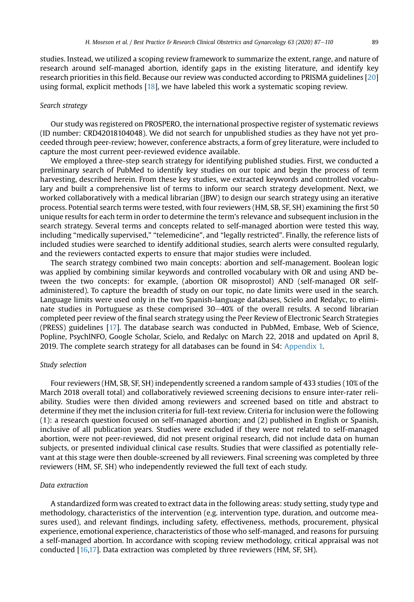studies. Instead, we utilized a scoping review framework to summarize the extent, range, and nature of research around self-managed abortion, identify gaps in the existing literature, and identify key research priorities in this field. Because our review was conducted according to PRISMA guidelines [[20\]](#page-20-6) using formal, explicit methods [\[18](#page-20-7)], we have labeled this work a systematic scoping review.

#### Search strategy

Our study was registered on PROSPERO, the international prospective register of systematic reviews (ID number: CRD42018104048). We did not search for unpublished studies as they have not yet proceeded through peer-review; however, conference abstracts, a form of grey literature, were included to capture the most current peer-reviewed evidence available.

We employed a three-step search strategy for identifying published studies. First, we conducted a preliminary search of PubMed to identify key studies on our topic and begin the process of term harvesting, described herein. From these key studies, we extracted keywords and controlled vocabulary and built a comprehensive list of terms to inform our search strategy development. Next, we worked collaboratively with a medical librarian (JBW) to design our search strategy using an iterative process. Potential search terms were tested, with four reviewers (HM, SB, SF, SH) examining the first 50 unique results for each term in order to determine the term's relevance and subsequent inclusion in the search strategy. Several terms and concepts related to self-managed abortion were tested this way, including "medically supervised," "telemedicine", and "legally restricted". Finally, the reference lists of included studies were searched to identify additional studies, search alerts were consulted regularly, and the reviewers contacted experts to ensure that major studies were included.

The search strategy combined two main concepts: abortion and self-management. Boolean logic was applied by combining similar keywords and controlled vocabulary with OR and using AND between the two concepts: for example, (abortion OR misoprostol) AND (self-managed OR selfadministered). To capture the breadth of study on our topic, no date limits were used in the search. Language limits were used only in the two Spanish-language databases, Scielo and Redalyc, to eliminate studies in Portuguese as these comprised  $30-40%$  of the overall results. A second librarian completed peer review of the final search strategy using the Peer Review of Electronic Search Strategies (PRESS) guidelines [\[17\]](#page-20-5). The database search was conducted in PubMed, Embase, Web of Science, Popline, PsychINFO, Google Scholar, Scielo, and Redalyc on March 22, 2018 and updated on April 8, 2019. The complete search strategy for all databases can be found in S4: Appendix 1.

# Study selection

Four reviewers (HM, SB, SF, SH) independently screened a random sample of 433 studies (10% of the March 2018 overall total) and collaboratively reviewed screening decisions to ensure inter-rater reliability. Studies were then divided among reviewers and screened based on title and abstract to determine if they met the inclusion criteria for full-text review. Criteria for inclusion were the following (1): a research question focused on self-managed abortion; and (2) published in English or Spanish, inclusive of all publication years. Studies were excluded if they were not related to self-managed abortion, were not peer-reviewed, did not present original research, did not include data on human subjects, or presented individual clinical case results. Studies that were classified as potentially relevant at this stage were then double-screened by all reviewers. Final screening was completed by three reviewers (HM, SF, SH) who independently reviewed the full text of each study.

#### Data extraction

A standardized form was created to extract data in the following areas: study setting, study type and methodology, characteristics of the intervention (e.g. intervention type, duration, and outcome measures used), and relevant findings, including safety, effectiveness, methods, procurement, physical experience, emotional experience, characteristics of those who self-managed, and reasons for pursuing a self-managed abortion. In accordance with scoping review methodology, critical appraisal was not conducted [\[16](#page-20-4)[,17](#page-20-5)]. Data extraction was completed by three reviewers (HM, SF, SH).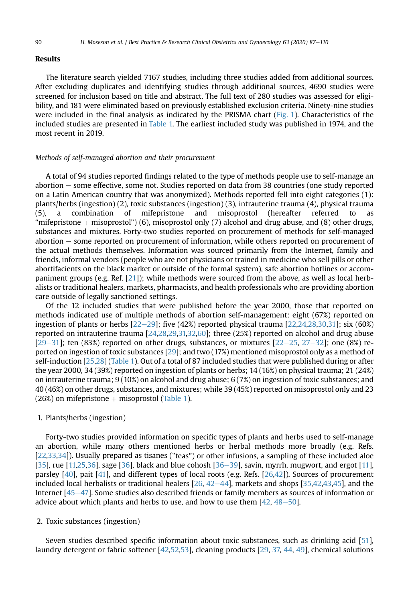# Results

The literature search yielded 7167 studies, including three studies added from additional sources. After excluding duplicates and identifying studies through additional sources, 4690 studies were screened for inclusion based on title and abstract. The full text of 280 studies was assessed for eligibility, and 181 were eliminated based on previously established exclusion criteria. Ninety-nine studies were included in the final analysis as indicated by the PRISMA chart ([Fig. 1](#page-4-0)). Characteristics of the included studies are presented in [Table 1.](#page-5-0) The earliest included study was published in 1974, and the most recent in 2019.

# Methods of self-managed abortion and their procurement

A total of 94 studies reported findings related to the type of methods people use to self-manage an abortion – some effective, some not. Studies reported on data from 38 countries (one study reported on a Latin American country that was anonymized). Methods reported fell into eight categories (1): plants/herbs (ingestion) (2), toxic substances (ingestion) (3), intrauterine trauma (4), physical trauma (5), a combination of mifepristone and misoprostol (hereafter referred to as "mifepristone  $+$  misoprostol") (6), misoprostol only (7) alcohol and drug abuse, and (8) other drugs, substances and mixtures. Forty-two studies reported on procurement of methods for self-managed abortion – some reported on procurement of information, while others reported on procurement of the actual methods themselves. Information was sourced primarily from the Internet, family and friends, informal vendors (people who are not physicians or trained in medicine who sell pills or other abortifacients on the black market or outside of the formal system), safe abortion hotlines or accompaniment groups (e.g. Ref. [\[21](#page-20-8)]); while methods were sourced from the above, as well as local herbalists or traditional healers, markets, pharmacists, and health professionals who are providing abortion care outside of legally sanctioned settings.

Of the 12 included studies that were published before the year 2000, those that reported on methods indicated use of multiple methods of abortion self-management: eight (67%) reported on ingestion of plants or herbs  $[22-29]$  $[22-29]$  $[22-29]$  $[22-29]$ ; five  $(42%)$  reported physical trauma  $[22,24,28,30,31]$  $[22,24,28,30,31]$  $[22,24,28,30,31]$  $[22,24,28,30,31]$  $[22,24,28,30,31]$  $[22,24,28,30,31]$  $[22,24,28,30,31]$ ; six  $(60%)$ reported on intrauterine trauma [[24,](#page-20-10)[28](#page-20-11)[,29,](#page-20-14)[31,](#page-20-13)[32](#page-20-15)[,60\]](#page-21-0); three (25%) reported on alcohol and drug abuse  $[29-31]$  $[29-31]$  $[29-31]$  $[29-31]$ ; ten  $(83\%)$  reported on other drugs, substances, or mixtures  $[22-25, 27-32]$  $[22-25, 27-32]$  $[22-25, 27-32]$  $[22-25, 27-32]$  $[22-25, 27-32]$  $[22-25, 27-32]$  $[22-25, 27-32]$  $[22-25, 27-32]$ ; one  $(8\%)$  reported on ingestion of toxic substances [[29](#page-20-14)]; and two (17%) mentioned misoprostol only as a method of self-induction [\[25,](#page-20-17)[28](#page-20-11)] ([Table 1](#page-5-0)). Out of a total of 87 included studies that were published during or after the year 2000, 34 (39%) reported on ingestion of plants or herbs; 14 (16%) on physical trauma; 21 (24%) on intrauterine trauma; 9 (10%) on alcohol and drug abuse; 6 (7%) on ingestion of toxic substances; and 40 (46%) on other drugs, substances, and mixtures; while 39 (45%) reported on misoprostol only and 23  $(26%)$  on mifepristone  $+$  misoprostol ([Table 1\)](#page-5-0).

# 1. Plants/herbs (ingestion)

Forty-two studies provided information on specific types of plants and herbs used to self-manage an abortion, while many others mentioned herbs or herbal methods more broadly (e.g. Refs. [[22](#page-20-9)[,33,](#page-20-18)[34\]](#page-20-19)). Usually prepared as tisanes ("teas") or other infusions, a sampling of these included aloe [[35](#page-20-20)], rue [\[11,](#page-20-21)[25,](#page-20-17)[36](#page-20-22)], sage [\[36\]](#page-20-22), black and blue cohosh [36–[39](#page-20-22)], savin, myrrh, mugwort, and ergot [[11\]](#page-20-21), parsley [\[40\]](#page-20-23), pait [[41\]](#page-21-1), and different types of local roots (e.g. Refs. [\[26,](#page-20-24)[42](#page-21-2)]). Sources of procurement included local herbalists or traditional healers  $[26, 42-44]$  $[26, 42-44]$  $[26, 42-44]$  $[26, 42-44]$  $[26, 42-44]$ , markets and shops  $[35,42,43,45]$  $[35,42,43,45]$  $[35,42,43,45]$  $[35,42,43,45]$  $[35,42,43,45]$  $[35,42,43,45]$ , and the Internet  $[45-47]$  $[45-47]$  $[45-47]$  $[45-47]$ . Some studies also described friends or family members as sources of information or advice about which plants and herbs to use, and how to use them  $[42, 48-50]$  $[42, 48-50]$  $[42, 48-50]$  $[42, 48-50]$  $[42, 48-50]$  $[42, 48-50]$ .

#### 2. Toxic substances (ingestion)

Seven studies described specific information about toxic substances, such as drinking acid [[51\]](#page-21-6), laundry detergent or fabric softener [\[42,](#page-21-2)[52](#page-21-7)[,53\]](#page-21-8), cleaning products [[29](#page-20-14), [37,](#page-20-25) [44,](#page-21-9) [49\]](#page-21-10), chemical solutions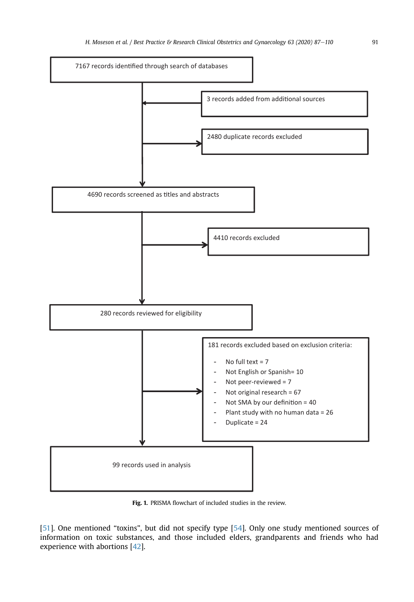<span id="page-4-0"></span>

Fig. 1. PRISMA flowchart of included studies in the review.

[\[51](#page-21-6)]. One mentioned "toxins", but did not specify type [\[54\]](#page-21-11). Only one study mentioned sources of information on toxic substances, and those included elders, grandparents and friends who had experience with abortions [\[42\]](#page-21-2).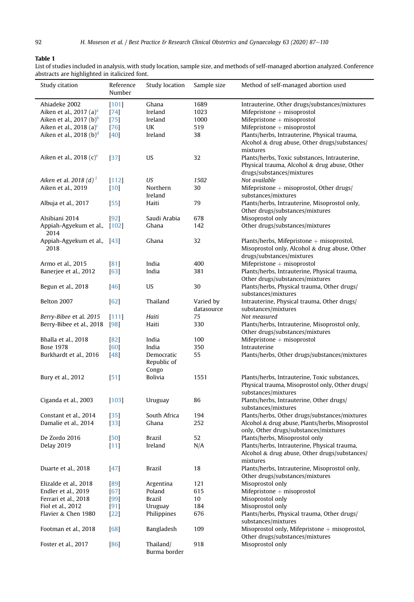#### <span id="page-5-0"></span>Table 1

List of studies included in analysis, with study location, sample size, and methods of self-managed abortion analyzed. Conference abstracts are highlighted in italicized font.

| --- -- - ---g---- <i>g</i> ----     |                      |                |             |                                                                                               |
|-------------------------------------|----------------------|----------------|-------------|-----------------------------------------------------------------------------------------------|
| Study citation                      | Reference<br>Number  | Study location | Sample size | Method of self-managed abortion used                                                          |
| Ahiadeke 2002                       | $[101]$              | Ghana          | 1689        | Intrauterine, Other drugs/substances/mixtures                                                 |
| Aiken et al., 2017 (a) <sup>a</sup> | $[74]$               | Ireland        | 1023        | Mifepristone $+$ misoprostol                                                                  |
|                                     |                      |                |             |                                                                                               |
| Aiken et al., 2017 $(b)^b$          | $[75]$               | Ireland        | 1000        | Mifepristone $+$ misoprostol                                                                  |
| Aiken et al., 2018 (a) $\text{c}$   | [76]                 | UK             | 519         | Mifepristone $+$ misoprostol                                                                  |
| Aiken et al., 2018 $(b)^d$          | $[40]$               | Ireland        | 38          | Plants/herbs, Intrauterine, Physical trauma,                                                  |
|                                     |                      |                |             | Alcohol & drug abuse, Other drugs/substances/                                                 |
|                                     |                      |                |             | mixtures                                                                                      |
| Aiken et al., 2018 $(c)^e$          | $[37]$               | US             | 32          | Plants/herbs, Toxic substances, Intrauterine,<br>Physical trauma, Alcohol & drug abuse, Other |
|                                     |                      |                |             | drugs/substances/mixtures                                                                     |
| Aiken et al. 2018 (d) $^1$          | $[112]$              | US             | 1502        | Not available                                                                                 |
| Aiken et al., 2019                  | $[10]$               | Northern       | 30          | Mifepristone $+$ misoprostol, Other drugs/                                                    |
|                                     |                      | Ireland        |             | substances/mixtures                                                                           |
|                                     |                      |                |             |                                                                                               |
| Albuja et al., 2017                 | [55]                 | Haiti          | 79          | Plants/herbs, Intrauterine, Misoprostol only,                                                 |
|                                     |                      |                |             | Other drugs/substances/mixtures                                                               |
| Alsibiani 2014                      | $[92]$               | Saudi Arabia   | 678         | Misoprostol only                                                                              |
| Appiah-Agyekum et al., [102]        |                      | Ghana          | 142         | Other drugs/substances/mixtures                                                               |
| 2014                                |                      |                |             |                                                                                               |
| Appiah-Agyekum et al., [43]         |                      | Ghana          | 32          | Plants/herbs, Mifepristone $+$ misoprostol,                                                   |
| 2018                                |                      |                |             | Misoprostol only, Alcohol & drug abuse, Other                                                 |
|                                     |                      |                |             |                                                                                               |
|                                     |                      |                |             | drugs/substances/mixtures                                                                     |
| Armo et al., 2015                   | [81]                 | India          | 400         | Mifepristone $+$ misoprostol                                                                  |
| Banerjee et al., 2012               | $[63]$               | India          | 381         | Plants/herbs, Intrauterine, Physical trauma,                                                  |
|                                     |                      |                |             | Other drugs/substances/mixtures                                                               |
| Begun et al., 2018                  | $[46]$               | US             | 30          | Plants/herbs, Physical trauma, Other drugs/                                                   |
|                                     |                      |                |             | substances/mixtures                                                                           |
| Belton 2007                         | $[62]$               | Thailand       | Varied by   | Intrauterine, Physical trauma, Other drugs/                                                   |
|                                     |                      |                |             |                                                                                               |
|                                     |                      |                | datasource  | substances/mixtures                                                                           |
| Berry-Bibee et al. 2015             | [111]                | Haiti          | 75          | Not measured                                                                                  |
| Berry-Bibee et al., 2018            | [98]                 | Haiti          | 330         | Plants/herbs, Intrauterine, Misoprostol only,                                                 |
|                                     |                      |                |             | Other drugs/substances/mixtures                                                               |
| Bhalla et al., 2018                 | [82]                 | India          | 100         | Mifepristone $+$ misoprostol                                                                  |
| <b>Bose 1978</b>                    | [60]                 | India          | 350         | Intrauterine                                                                                  |
| Burkhardt et al., 2016              | [48]                 | Democratic     | 55          | Plants/herbs, Other drugs/substances/mixtures                                                 |
|                                     |                      | Republic of    |             |                                                                                               |
|                                     |                      |                |             |                                                                                               |
|                                     |                      | Congo          |             |                                                                                               |
| Bury et al., 2012                   | [51]                 | <b>Bolivia</b> | 1551        | Plants/herbs, Intrauterine, Toxic substances,                                                 |
|                                     |                      |                |             | Physical trauma, Misoprostol only, Other drugs/                                               |
|                                     |                      |                |             | substances/mixtures                                                                           |
| Ciganda et al., 2003                | $[103]$              | Uruguay        | 86          | Plants/herbs, Intrauterine, Other drugs/                                                      |
|                                     |                      |                |             | substances/mixtures                                                                           |
| Constant et al., 2014               | $[35]$               | South Africa   | 194         | Plants/herbs, Other drugs/substances/mixtures                                                 |
|                                     |                      |                |             |                                                                                               |
| Damalie et al., 2014                | $[33]$               | Ghana          | 252         | Alcohol & drug abuse, Plants/herbs, Misoprostol                                               |
|                                     |                      |                |             | only, Other drugs/substances/mixtures                                                         |
| De Zordo 2016                       | $[50]$               | Brazil         | 52          | Plants/herbs, Misoprostol only                                                                |
| Delay 2019                          | $[11]$               | Ireland        | N/A         | Plants/herbs, Intrauterine, Physical trauma,                                                  |
|                                     |                      |                |             | Alcohol & drug abuse, Other drugs/substances/                                                 |
|                                     |                      |                |             | mixtures                                                                                      |
| Duarte et al., 2018                 | $[47] \label{eq:47}$ | Brazil         | 18          | Plants/herbs, Intrauterine, Misoprostol only,                                                 |
|                                     |                      |                |             | Other drugs/substances/mixtures                                                               |
|                                     |                      |                |             |                                                                                               |
| Elizalde et al., 2018               | [89]                 | Argentina      | 121         | Misoprostol only                                                                              |
| Endler et al., 2019                 | $[67]$               | Poland         | 615         | Mifepristone $+$ misoprostol                                                                  |
| Ferrari et al., 2018                | [99]                 | Brazil         | 10          | Misoprostol only                                                                              |
| Fiol et al., 2012                   | $[91]$               | Uruguay        | 184         | Misoprostol only                                                                              |
| Flavier & Chen 1980                 | $[22]$               | Philippines    | 676         | Plants/herbs, Physical trauma, Other drugs/                                                   |
|                                     |                      |                |             | substances/mixtures                                                                           |
| Footman et al., 2018                |                      |                | 109         | Misoprostol only. Mifepristone $+$ misoprostol.                                               |
|                                     | $[68]$               | Bangladesh     |             |                                                                                               |
|                                     |                      |                |             | Other drugs/substances/mixtures                                                               |
| Foster et al., 2017                 | $[86]$               | Thailand/      | 918         | Misoprostol only                                                                              |
|                                     |                      | Burma border   |             |                                                                                               |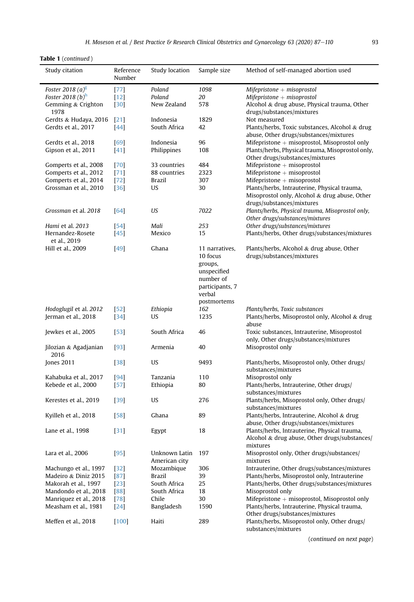|  |  | <b>Table 1</b> (continued) |  |
|--|--|----------------------------|--|
|--|--|----------------------------|--|

| 1098<br>Foster 2018 (a) <sup>g</sup><br>$[77]$<br>Poland<br>$M$ ifepristone + misoprostol<br>Foster 2018 (b) <sup>h</sup><br>$[12]$<br>Poland<br>20<br>$M$ ifepristone + misoprostol<br>Gemming & Crighton<br>578<br>Alcohol & drug abuse, Physical trauma, Other<br>$[30]$<br>New Zealand<br>1978<br>drugs/substances/mixtures<br>Gerdts & Hudaya, 2016<br>[21]<br>Indonesia<br>1829<br>Not measured<br>Gerdts et al., 2017<br>[44]<br>South Africa<br>42<br>Plants/herbs, Toxic substances, Alcohol & drug<br>abuse, Other drugs/substances/mixtures<br>96<br>Mifepristone $+$ misoprostol, Misoprostol only<br>Gerdts et al., 2018<br>[69]<br>Indonesia<br>$[41]$<br>Philippines<br>108<br>Plants/herbs, Physical trauma, Misoprostol only,<br>Gipson et al., 2011<br>Other drugs/substances/mixtures<br>484<br>Mifepristone $+$ misoprostol<br>Gomperts et al., 2008<br>[70]<br>33 countries<br>Mifepristone $+$ misoprostol<br>Gomperts et al., 2012<br>[71]<br>88 countries<br>2323<br>Mifepristone $+$ misoprostol<br>Gomperts et al., 2014<br>$[72]$<br>Brazil<br>307<br>Plants/herbs, Intrauterine, Physical trauma,<br>Grossman et al., 2010<br>$[36]$<br>US<br>30<br>Misoprostol only, Alcohol & drug abuse, Other<br>drugs/substances/mixtures<br>US<br>Plants/herbs, Physical trauma, Misoprostol only,<br>Grossman et al. 2018<br>$[64]$<br>7022<br>Other drugs/substances/mixtures<br>Other drugs/substances/mixtures<br>Hami et al. 2013<br>$[54]$<br>Mali<br>253<br>Plants/herbs, Other drugs/substances/mixtures<br>Hernandez-Rosete<br>$[45]$<br>Mexico<br>15<br>et al., 2019<br>Hill et al., 2009<br>[49]<br>Ghana<br>11 narratives,<br>Plants/herbs, Alcohol & drug abuse, Other<br>drugs/substances/mixtures<br>10 focus<br>groups,<br>unspecified<br>number of<br>participants, 7<br>verbal<br>postmortems<br>Hodoglugil et al. 2012<br>$[52]$<br>Ethiopia<br>162<br>Plants/herbs, Toxic substances<br>Jerman et al., 2018<br>Plants/herbs, Misoprostol only, Alcohol & drug<br>$[34]$<br>US<br>1235<br>abuse<br>South Africa<br>Jewkes et al., 2005<br>$[53]$<br>46<br>Toxic substances, Intrauterine, Misoprostol<br>only, Other drugs/substances/mixtures<br>Jilozian & Agadjanian<br>$[93]$<br>Armenia<br>40<br>Misoprostol only<br>2016<br><b>Jones 2011</b><br>US<br>9493<br>Plants/herbs, Misoprostol only, Other drugs/<br>$[38]$<br>substances/mixtures<br>Misoprostol only<br>Kahabuka et al., 2017<br>Tanzania<br>110<br>[94]<br>Plants/herbs, Intrauterine, Other drugs/<br>Kebede et al., 2000<br>$[57]$<br>Ethiopia<br>80<br>substances/mixtures<br>US<br>Plants/herbs, Misoprostol only, Other drugs/<br>Kerestes et al., 2019<br>$[39]$<br>276<br>substances/mixtures<br>89<br>Plants/herbs, Intrauterine, Alcohol & drug<br>Kyilleh et al., 2018<br>$[58]$<br>Ghana<br>abuse, Other drugs/substances/mixtures<br>18<br>Plants/herbs, Intrauterine, Physical trauma,<br>Lane et al., 1998<br>$[31]$<br>Egypt<br>Alcohol & drug abuse, Other drugs/substances/<br>mixtures<br>197<br>Misoprostol only, Other drugs/substances/<br>$[95]$<br>Unknown Latin<br>Lara et al., 2006<br>American city<br>mixtures<br>Intrauterine, Other drugs/substances/mixtures<br>Machungo et al., 1997<br>Mozambique<br>$[32]$<br>306<br>Madeiro & Diniz 2015<br>Brazil<br>39<br>Plants/herbs, Misoprostol only, Intrauterine<br>$[87]$<br>South Africa<br>Plants/herbs, Other drugs/substances/mixtures<br>Makorah et al., 1997<br>25<br>$[23]$<br>Mandondo et al., 2018<br>Misoprostol only<br>[88]<br>South Africa<br>18<br>Mifepristone $+$ misoprostol, Misoprostol only<br>30<br>Manriquez et al., 2018<br>$[78]$<br>Chile<br>Measham et al., 1981<br>Bangladesh<br>Plants/herbs, Intrauterine, Physical trauma,<br>$[24]$<br>1590<br>Other drugs/substances/mixtures<br>Meffen et al., 2018<br>$[100]$<br>Haiti<br>289<br>Plants/herbs, Misoprostol only, Other drugs/ | Study citation | Reference<br>Number | Study location<br>Sample size |  | Method of self-managed abortion used |  |
|----------------------------------------------------------------------------------------------------------------------------------------------------------------------------------------------------------------------------------------------------------------------------------------------------------------------------------------------------------------------------------------------------------------------------------------------------------------------------------------------------------------------------------------------------------------------------------------------------------------------------------------------------------------------------------------------------------------------------------------------------------------------------------------------------------------------------------------------------------------------------------------------------------------------------------------------------------------------------------------------------------------------------------------------------------------------------------------------------------------------------------------------------------------------------------------------------------------------------------------------------------------------------------------------------------------------------------------------------------------------------------------------------------------------------------------------------------------------------------------------------------------------------------------------------------------------------------------------------------------------------------------------------------------------------------------------------------------------------------------------------------------------------------------------------------------------------------------------------------------------------------------------------------------------------------------------------------------------------------------------------------------------------------------------------------------------------------------------------------------------------------------------------------------------------------------------------------------------------------------------------------------------------------------------------------------------------------------------------------------------------------------------------------------------------------------------------------------------------------------------------------------------------------------------------------------------------------------------------------------------------------------------------------------------------------------------------------------------------------------------------------------------------------------------------------------------------------------------------------------------------------------------------------------------------------------------------------------------------------------------------------------------------------------------------------------------------------------------------------------------------------------------------------------------------------------------------------------------------------------------------------------------------------------------------------------------------------------------------------------------------------------------------------------------------------------------------------------------------------------------------------------------------------------------------------------------------------------------------------------------------------------------------------------------------------------------------------------------------------------------------------------------------------------------------------------------------------------------------------------------------------------------------|----------------|---------------------|-------------------------------|--|--------------------------------------|--|
|                                                                                                                                                                                                                                                                                                                                                                                                                                                                                                                                                                                                                                                                                                                                                                                                                                                                                                                                                                                                                                                                                                                                                                                                                                                                                                                                                                                                                                                                                                                                                                                                                                                                                                                                                                                                                                                                                                                                                                                                                                                                                                                                                                                                                                                                                                                                                                                                                                                                                                                                                                                                                                                                                                                                                                                                                                                                                                                                                                                                                                                                                                                                                                                                                                                                                                                                                                                                                                                                                                                                                                                                                                                                                                                                                                                                                                                                                                    |                |                     |                               |  |                                      |  |
|                                                                                                                                                                                                                                                                                                                                                                                                                                                                                                                                                                                                                                                                                                                                                                                                                                                                                                                                                                                                                                                                                                                                                                                                                                                                                                                                                                                                                                                                                                                                                                                                                                                                                                                                                                                                                                                                                                                                                                                                                                                                                                                                                                                                                                                                                                                                                                                                                                                                                                                                                                                                                                                                                                                                                                                                                                                                                                                                                                                                                                                                                                                                                                                                                                                                                                                                                                                                                                                                                                                                                                                                                                                                                                                                                                                                                                                                                                    |                |                     |                               |  |                                      |  |
|                                                                                                                                                                                                                                                                                                                                                                                                                                                                                                                                                                                                                                                                                                                                                                                                                                                                                                                                                                                                                                                                                                                                                                                                                                                                                                                                                                                                                                                                                                                                                                                                                                                                                                                                                                                                                                                                                                                                                                                                                                                                                                                                                                                                                                                                                                                                                                                                                                                                                                                                                                                                                                                                                                                                                                                                                                                                                                                                                                                                                                                                                                                                                                                                                                                                                                                                                                                                                                                                                                                                                                                                                                                                                                                                                                                                                                                                                                    |                |                     |                               |  |                                      |  |
|                                                                                                                                                                                                                                                                                                                                                                                                                                                                                                                                                                                                                                                                                                                                                                                                                                                                                                                                                                                                                                                                                                                                                                                                                                                                                                                                                                                                                                                                                                                                                                                                                                                                                                                                                                                                                                                                                                                                                                                                                                                                                                                                                                                                                                                                                                                                                                                                                                                                                                                                                                                                                                                                                                                                                                                                                                                                                                                                                                                                                                                                                                                                                                                                                                                                                                                                                                                                                                                                                                                                                                                                                                                                                                                                                                                                                                                                                                    |                |                     |                               |  |                                      |  |
|                                                                                                                                                                                                                                                                                                                                                                                                                                                                                                                                                                                                                                                                                                                                                                                                                                                                                                                                                                                                                                                                                                                                                                                                                                                                                                                                                                                                                                                                                                                                                                                                                                                                                                                                                                                                                                                                                                                                                                                                                                                                                                                                                                                                                                                                                                                                                                                                                                                                                                                                                                                                                                                                                                                                                                                                                                                                                                                                                                                                                                                                                                                                                                                                                                                                                                                                                                                                                                                                                                                                                                                                                                                                                                                                                                                                                                                                                                    |                |                     |                               |  |                                      |  |
|                                                                                                                                                                                                                                                                                                                                                                                                                                                                                                                                                                                                                                                                                                                                                                                                                                                                                                                                                                                                                                                                                                                                                                                                                                                                                                                                                                                                                                                                                                                                                                                                                                                                                                                                                                                                                                                                                                                                                                                                                                                                                                                                                                                                                                                                                                                                                                                                                                                                                                                                                                                                                                                                                                                                                                                                                                                                                                                                                                                                                                                                                                                                                                                                                                                                                                                                                                                                                                                                                                                                                                                                                                                                                                                                                                                                                                                                                                    |                |                     |                               |  |                                      |  |
|                                                                                                                                                                                                                                                                                                                                                                                                                                                                                                                                                                                                                                                                                                                                                                                                                                                                                                                                                                                                                                                                                                                                                                                                                                                                                                                                                                                                                                                                                                                                                                                                                                                                                                                                                                                                                                                                                                                                                                                                                                                                                                                                                                                                                                                                                                                                                                                                                                                                                                                                                                                                                                                                                                                                                                                                                                                                                                                                                                                                                                                                                                                                                                                                                                                                                                                                                                                                                                                                                                                                                                                                                                                                                                                                                                                                                                                                                                    |                |                     |                               |  |                                      |  |
|                                                                                                                                                                                                                                                                                                                                                                                                                                                                                                                                                                                                                                                                                                                                                                                                                                                                                                                                                                                                                                                                                                                                                                                                                                                                                                                                                                                                                                                                                                                                                                                                                                                                                                                                                                                                                                                                                                                                                                                                                                                                                                                                                                                                                                                                                                                                                                                                                                                                                                                                                                                                                                                                                                                                                                                                                                                                                                                                                                                                                                                                                                                                                                                                                                                                                                                                                                                                                                                                                                                                                                                                                                                                                                                                                                                                                                                                                                    |                |                     |                               |  |                                      |  |
|                                                                                                                                                                                                                                                                                                                                                                                                                                                                                                                                                                                                                                                                                                                                                                                                                                                                                                                                                                                                                                                                                                                                                                                                                                                                                                                                                                                                                                                                                                                                                                                                                                                                                                                                                                                                                                                                                                                                                                                                                                                                                                                                                                                                                                                                                                                                                                                                                                                                                                                                                                                                                                                                                                                                                                                                                                                                                                                                                                                                                                                                                                                                                                                                                                                                                                                                                                                                                                                                                                                                                                                                                                                                                                                                                                                                                                                                                                    |                |                     |                               |  |                                      |  |
|                                                                                                                                                                                                                                                                                                                                                                                                                                                                                                                                                                                                                                                                                                                                                                                                                                                                                                                                                                                                                                                                                                                                                                                                                                                                                                                                                                                                                                                                                                                                                                                                                                                                                                                                                                                                                                                                                                                                                                                                                                                                                                                                                                                                                                                                                                                                                                                                                                                                                                                                                                                                                                                                                                                                                                                                                                                                                                                                                                                                                                                                                                                                                                                                                                                                                                                                                                                                                                                                                                                                                                                                                                                                                                                                                                                                                                                                                                    |                |                     |                               |  |                                      |  |
|                                                                                                                                                                                                                                                                                                                                                                                                                                                                                                                                                                                                                                                                                                                                                                                                                                                                                                                                                                                                                                                                                                                                                                                                                                                                                                                                                                                                                                                                                                                                                                                                                                                                                                                                                                                                                                                                                                                                                                                                                                                                                                                                                                                                                                                                                                                                                                                                                                                                                                                                                                                                                                                                                                                                                                                                                                                                                                                                                                                                                                                                                                                                                                                                                                                                                                                                                                                                                                                                                                                                                                                                                                                                                                                                                                                                                                                                                                    |                |                     |                               |  |                                      |  |
|                                                                                                                                                                                                                                                                                                                                                                                                                                                                                                                                                                                                                                                                                                                                                                                                                                                                                                                                                                                                                                                                                                                                                                                                                                                                                                                                                                                                                                                                                                                                                                                                                                                                                                                                                                                                                                                                                                                                                                                                                                                                                                                                                                                                                                                                                                                                                                                                                                                                                                                                                                                                                                                                                                                                                                                                                                                                                                                                                                                                                                                                                                                                                                                                                                                                                                                                                                                                                                                                                                                                                                                                                                                                                                                                                                                                                                                                                                    |                |                     |                               |  |                                      |  |
|                                                                                                                                                                                                                                                                                                                                                                                                                                                                                                                                                                                                                                                                                                                                                                                                                                                                                                                                                                                                                                                                                                                                                                                                                                                                                                                                                                                                                                                                                                                                                                                                                                                                                                                                                                                                                                                                                                                                                                                                                                                                                                                                                                                                                                                                                                                                                                                                                                                                                                                                                                                                                                                                                                                                                                                                                                                                                                                                                                                                                                                                                                                                                                                                                                                                                                                                                                                                                                                                                                                                                                                                                                                                                                                                                                                                                                                                                                    |                |                     |                               |  |                                      |  |
|                                                                                                                                                                                                                                                                                                                                                                                                                                                                                                                                                                                                                                                                                                                                                                                                                                                                                                                                                                                                                                                                                                                                                                                                                                                                                                                                                                                                                                                                                                                                                                                                                                                                                                                                                                                                                                                                                                                                                                                                                                                                                                                                                                                                                                                                                                                                                                                                                                                                                                                                                                                                                                                                                                                                                                                                                                                                                                                                                                                                                                                                                                                                                                                                                                                                                                                                                                                                                                                                                                                                                                                                                                                                                                                                                                                                                                                                                                    |                |                     |                               |  |                                      |  |
|                                                                                                                                                                                                                                                                                                                                                                                                                                                                                                                                                                                                                                                                                                                                                                                                                                                                                                                                                                                                                                                                                                                                                                                                                                                                                                                                                                                                                                                                                                                                                                                                                                                                                                                                                                                                                                                                                                                                                                                                                                                                                                                                                                                                                                                                                                                                                                                                                                                                                                                                                                                                                                                                                                                                                                                                                                                                                                                                                                                                                                                                                                                                                                                                                                                                                                                                                                                                                                                                                                                                                                                                                                                                                                                                                                                                                                                                                                    |                |                     |                               |  |                                      |  |
|                                                                                                                                                                                                                                                                                                                                                                                                                                                                                                                                                                                                                                                                                                                                                                                                                                                                                                                                                                                                                                                                                                                                                                                                                                                                                                                                                                                                                                                                                                                                                                                                                                                                                                                                                                                                                                                                                                                                                                                                                                                                                                                                                                                                                                                                                                                                                                                                                                                                                                                                                                                                                                                                                                                                                                                                                                                                                                                                                                                                                                                                                                                                                                                                                                                                                                                                                                                                                                                                                                                                                                                                                                                                                                                                                                                                                                                                                                    |                |                     |                               |  |                                      |  |
|                                                                                                                                                                                                                                                                                                                                                                                                                                                                                                                                                                                                                                                                                                                                                                                                                                                                                                                                                                                                                                                                                                                                                                                                                                                                                                                                                                                                                                                                                                                                                                                                                                                                                                                                                                                                                                                                                                                                                                                                                                                                                                                                                                                                                                                                                                                                                                                                                                                                                                                                                                                                                                                                                                                                                                                                                                                                                                                                                                                                                                                                                                                                                                                                                                                                                                                                                                                                                                                                                                                                                                                                                                                                                                                                                                                                                                                                                                    |                |                     |                               |  |                                      |  |
|                                                                                                                                                                                                                                                                                                                                                                                                                                                                                                                                                                                                                                                                                                                                                                                                                                                                                                                                                                                                                                                                                                                                                                                                                                                                                                                                                                                                                                                                                                                                                                                                                                                                                                                                                                                                                                                                                                                                                                                                                                                                                                                                                                                                                                                                                                                                                                                                                                                                                                                                                                                                                                                                                                                                                                                                                                                                                                                                                                                                                                                                                                                                                                                                                                                                                                                                                                                                                                                                                                                                                                                                                                                                                                                                                                                                                                                                                                    |                |                     |                               |  |                                      |  |
|                                                                                                                                                                                                                                                                                                                                                                                                                                                                                                                                                                                                                                                                                                                                                                                                                                                                                                                                                                                                                                                                                                                                                                                                                                                                                                                                                                                                                                                                                                                                                                                                                                                                                                                                                                                                                                                                                                                                                                                                                                                                                                                                                                                                                                                                                                                                                                                                                                                                                                                                                                                                                                                                                                                                                                                                                                                                                                                                                                                                                                                                                                                                                                                                                                                                                                                                                                                                                                                                                                                                                                                                                                                                                                                                                                                                                                                                                                    |                |                     |                               |  |                                      |  |
|                                                                                                                                                                                                                                                                                                                                                                                                                                                                                                                                                                                                                                                                                                                                                                                                                                                                                                                                                                                                                                                                                                                                                                                                                                                                                                                                                                                                                                                                                                                                                                                                                                                                                                                                                                                                                                                                                                                                                                                                                                                                                                                                                                                                                                                                                                                                                                                                                                                                                                                                                                                                                                                                                                                                                                                                                                                                                                                                                                                                                                                                                                                                                                                                                                                                                                                                                                                                                                                                                                                                                                                                                                                                                                                                                                                                                                                                                                    |                |                     |                               |  |                                      |  |
|                                                                                                                                                                                                                                                                                                                                                                                                                                                                                                                                                                                                                                                                                                                                                                                                                                                                                                                                                                                                                                                                                                                                                                                                                                                                                                                                                                                                                                                                                                                                                                                                                                                                                                                                                                                                                                                                                                                                                                                                                                                                                                                                                                                                                                                                                                                                                                                                                                                                                                                                                                                                                                                                                                                                                                                                                                                                                                                                                                                                                                                                                                                                                                                                                                                                                                                                                                                                                                                                                                                                                                                                                                                                                                                                                                                                                                                                                                    |                |                     |                               |  |                                      |  |
|                                                                                                                                                                                                                                                                                                                                                                                                                                                                                                                                                                                                                                                                                                                                                                                                                                                                                                                                                                                                                                                                                                                                                                                                                                                                                                                                                                                                                                                                                                                                                                                                                                                                                                                                                                                                                                                                                                                                                                                                                                                                                                                                                                                                                                                                                                                                                                                                                                                                                                                                                                                                                                                                                                                                                                                                                                                                                                                                                                                                                                                                                                                                                                                                                                                                                                                                                                                                                                                                                                                                                                                                                                                                                                                                                                                                                                                                                                    |                |                     |                               |  |                                      |  |
|                                                                                                                                                                                                                                                                                                                                                                                                                                                                                                                                                                                                                                                                                                                                                                                                                                                                                                                                                                                                                                                                                                                                                                                                                                                                                                                                                                                                                                                                                                                                                                                                                                                                                                                                                                                                                                                                                                                                                                                                                                                                                                                                                                                                                                                                                                                                                                                                                                                                                                                                                                                                                                                                                                                                                                                                                                                                                                                                                                                                                                                                                                                                                                                                                                                                                                                                                                                                                                                                                                                                                                                                                                                                                                                                                                                                                                                                                                    |                |                     |                               |  |                                      |  |
|                                                                                                                                                                                                                                                                                                                                                                                                                                                                                                                                                                                                                                                                                                                                                                                                                                                                                                                                                                                                                                                                                                                                                                                                                                                                                                                                                                                                                                                                                                                                                                                                                                                                                                                                                                                                                                                                                                                                                                                                                                                                                                                                                                                                                                                                                                                                                                                                                                                                                                                                                                                                                                                                                                                                                                                                                                                                                                                                                                                                                                                                                                                                                                                                                                                                                                                                                                                                                                                                                                                                                                                                                                                                                                                                                                                                                                                                                                    |                |                     |                               |  |                                      |  |
|                                                                                                                                                                                                                                                                                                                                                                                                                                                                                                                                                                                                                                                                                                                                                                                                                                                                                                                                                                                                                                                                                                                                                                                                                                                                                                                                                                                                                                                                                                                                                                                                                                                                                                                                                                                                                                                                                                                                                                                                                                                                                                                                                                                                                                                                                                                                                                                                                                                                                                                                                                                                                                                                                                                                                                                                                                                                                                                                                                                                                                                                                                                                                                                                                                                                                                                                                                                                                                                                                                                                                                                                                                                                                                                                                                                                                                                                                                    |                |                     |                               |  |                                      |  |
|                                                                                                                                                                                                                                                                                                                                                                                                                                                                                                                                                                                                                                                                                                                                                                                                                                                                                                                                                                                                                                                                                                                                                                                                                                                                                                                                                                                                                                                                                                                                                                                                                                                                                                                                                                                                                                                                                                                                                                                                                                                                                                                                                                                                                                                                                                                                                                                                                                                                                                                                                                                                                                                                                                                                                                                                                                                                                                                                                                                                                                                                                                                                                                                                                                                                                                                                                                                                                                                                                                                                                                                                                                                                                                                                                                                                                                                                                                    |                |                     |                               |  |                                      |  |
|                                                                                                                                                                                                                                                                                                                                                                                                                                                                                                                                                                                                                                                                                                                                                                                                                                                                                                                                                                                                                                                                                                                                                                                                                                                                                                                                                                                                                                                                                                                                                                                                                                                                                                                                                                                                                                                                                                                                                                                                                                                                                                                                                                                                                                                                                                                                                                                                                                                                                                                                                                                                                                                                                                                                                                                                                                                                                                                                                                                                                                                                                                                                                                                                                                                                                                                                                                                                                                                                                                                                                                                                                                                                                                                                                                                                                                                                                                    |                |                     |                               |  |                                      |  |
|                                                                                                                                                                                                                                                                                                                                                                                                                                                                                                                                                                                                                                                                                                                                                                                                                                                                                                                                                                                                                                                                                                                                                                                                                                                                                                                                                                                                                                                                                                                                                                                                                                                                                                                                                                                                                                                                                                                                                                                                                                                                                                                                                                                                                                                                                                                                                                                                                                                                                                                                                                                                                                                                                                                                                                                                                                                                                                                                                                                                                                                                                                                                                                                                                                                                                                                                                                                                                                                                                                                                                                                                                                                                                                                                                                                                                                                                                                    |                |                     |                               |  |                                      |  |
|                                                                                                                                                                                                                                                                                                                                                                                                                                                                                                                                                                                                                                                                                                                                                                                                                                                                                                                                                                                                                                                                                                                                                                                                                                                                                                                                                                                                                                                                                                                                                                                                                                                                                                                                                                                                                                                                                                                                                                                                                                                                                                                                                                                                                                                                                                                                                                                                                                                                                                                                                                                                                                                                                                                                                                                                                                                                                                                                                                                                                                                                                                                                                                                                                                                                                                                                                                                                                                                                                                                                                                                                                                                                                                                                                                                                                                                                                                    |                |                     |                               |  |                                      |  |
|                                                                                                                                                                                                                                                                                                                                                                                                                                                                                                                                                                                                                                                                                                                                                                                                                                                                                                                                                                                                                                                                                                                                                                                                                                                                                                                                                                                                                                                                                                                                                                                                                                                                                                                                                                                                                                                                                                                                                                                                                                                                                                                                                                                                                                                                                                                                                                                                                                                                                                                                                                                                                                                                                                                                                                                                                                                                                                                                                                                                                                                                                                                                                                                                                                                                                                                                                                                                                                                                                                                                                                                                                                                                                                                                                                                                                                                                                                    |                |                     |                               |  |                                      |  |
|                                                                                                                                                                                                                                                                                                                                                                                                                                                                                                                                                                                                                                                                                                                                                                                                                                                                                                                                                                                                                                                                                                                                                                                                                                                                                                                                                                                                                                                                                                                                                                                                                                                                                                                                                                                                                                                                                                                                                                                                                                                                                                                                                                                                                                                                                                                                                                                                                                                                                                                                                                                                                                                                                                                                                                                                                                                                                                                                                                                                                                                                                                                                                                                                                                                                                                                                                                                                                                                                                                                                                                                                                                                                                                                                                                                                                                                                                                    |                |                     |                               |  |                                      |  |
|                                                                                                                                                                                                                                                                                                                                                                                                                                                                                                                                                                                                                                                                                                                                                                                                                                                                                                                                                                                                                                                                                                                                                                                                                                                                                                                                                                                                                                                                                                                                                                                                                                                                                                                                                                                                                                                                                                                                                                                                                                                                                                                                                                                                                                                                                                                                                                                                                                                                                                                                                                                                                                                                                                                                                                                                                                                                                                                                                                                                                                                                                                                                                                                                                                                                                                                                                                                                                                                                                                                                                                                                                                                                                                                                                                                                                                                                                                    |                |                     |                               |  |                                      |  |
|                                                                                                                                                                                                                                                                                                                                                                                                                                                                                                                                                                                                                                                                                                                                                                                                                                                                                                                                                                                                                                                                                                                                                                                                                                                                                                                                                                                                                                                                                                                                                                                                                                                                                                                                                                                                                                                                                                                                                                                                                                                                                                                                                                                                                                                                                                                                                                                                                                                                                                                                                                                                                                                                                                                                                                                                                                                                                                                                                                                                                                                                                                                                                                                                                                                                                                                                                                                                                                                                                                                                                                                                                                                                                                                                                                                                                                                                                                    |                |                     |                               |  |                                      |  |
|                                                                                                                                                                                                                                                                                                                                                                                                                                                                                                                                                                                                                                                                                                                                                                                                                                                                                                                                                                                                                                                                                                                                                                                                                                                                                                                                                                                                                                                                                                                                                                                                                                                                                                                                                                                                                                                                                                                                                                                                                                                                                                                                                                                                                                                                                                                                                                                                                                                                                                                                                                                                                                                                                                                                                                                                                                                                                                                                                                                                                                                                                                                                                                                                                                                                                                                                                                                                                                                                                                                                                                                                                                                                                                                                                                                                                                                                                                    |                |                     |                               |  |                                      |  |
|                                                                                                                                                                                                                                                                                                                                                                                                                                                                                                                                                                                                                                                                                                                                                                                                                                                                                                                                                                                                                                                                                                                                                                                                                                                                                                                                                                                                                                                                                                                                                                                                                                                                                                                                                                                                                                                                                                                                                                                                                                                                                                                                                                                                                                                                                                                                                                                                                                                                                                                                                                                                                                                                                                                                                                                                                                                                                                                                                                                                                                                                                                                                                                                                                                                                                                                                                                                                                                                                                                                                                                                                                                                                                                                                                                                                                                                                                                    |                |                     |                               |  |                                      |  |
|                                                                                                                                                                                                                                                                                                                                                                                                                                                                                                                                                                                                                                                                                                                                                                                                                                                                                                                                                                                                                                                                                                                                                                                                                                                                                                                                                                                                                                                                                                                                                                                                                                                                                                                                                                                                                                                                                                                                                                                                                                                                                                                                                                                                                                                                                                                                                                                                                                                                                                                                                                                                                                                                                                                                                                                                                                                                                                                                                                                                                                                                                                                                                                                                                                                                                                                                                                                                                                                                                                                                                                                                                                                                                                                                                                                                                                                                                                    |                |                     |                               |  |                                      |  |
|                                                                                                                                                                                                                                                                                                                                                                                                                                                                                                                                                                                                                                                                                                                                                                                                                                                                                                                                                                                                                                                                                                                                                                                                                                                                                                                                                                                                                                                                                                                                                                                                                                                                                                                                                                                                                                                                                                                                                                                                                                                                                                                                                                                                                                                                                                                                                                                                                                                                                                                                                                                                                                                                                                                                                                                                                                                                                                                                                                                                                                                                                                                                                                                                                                                                                                                                                                                                                                                                                                                                                                                                                                                                                                                                                                                                                                                                                                    |                |                     |                               |  |                                      |  |
|                                                                                                                                                                                                                                                                                                                                                                                                                                                                                                                                                                                                                                                                                                                                                                                                                                                                                                                                                                                                                                                                                                                                                                                                                                                                                                                                                                                                                                                                                                                                                                                                                                                                                                                                                                                                                                                                                                                                                                                                                                                                                                                                                                                                                                                                                                                                                                                                                                                                                                                                                                                                                                                                                                                                                                                                                                                                                                                                                                                                                                                                                                                                                                                                                                                                                                                                                                                                                                                                                                                                                                                                                                                                                                                                                                                                                                                                                                    |                |                     |                               |  |                                      |  |
|                                                                                                                                                                                                                                                                                                                                                                                                                                                                                                                                                                                                                                                                                                                                                                                                                                                                                                                                                                                                                                                                                                                                                                                                                                                                                                                                                                                                                                                                                                                                                                                                                                                                                                                                                                                                                                                                                                                                                                                                                                                                                                                                                                                                                                                                                                                                                                                                                                                                                                                                                                                                                                                                                                                                                                                                                                                                                                                                                                                                                                                                                                                                                                                                                                                                                                                                                                                                                                                                                                                                                                                                                                                                                                                                                                                                                                                                                                    |                |                     |                               |  |                                      |  |
|                                                                                                                                                                                                                                                                                                                                                                                                                                                                                                                                                                                                                                                                                                                                                                                                                                                                                                                                                                                                                                                                                                                                                                                                                                                                                                                                                                                                                                                                                                                                                                                                                                                                                                                                                                                                                                                                                                                                                                                                                                                                                                                                                                                                                                                                                                                                                                                                                                                                                                                                                                                                                                                                                                                                                                                                                                                                                                                                                                                                                                                                                                                                                                                                                                                                                                                                                                                                                                                                                                                                                                                                                                                                                                                                                                                                                                                                                                    |                |                     |                               |  |                                      |  |
|                                                                                                                                                                                                                                                                                                                                                                                                                                                                                                                                                                                                                                                                                                                                                                                                                                                                                                                                                                                                                                                                                                                                                                                                                                                                                                                                                                                                                                                                                                                                                                                                                                                                                                                                                                                                                                                                                                                                                                                                                                                                                                                                                                                                                                                                                                                                                                                                                                                                                                                                                                                                                                                                                                                                                                                                                                                                                                                                                                                                                                                                                                                                                                                                                                                                                                                                                                                                                                                                                                                                                                                                                                                                                                                                                                                                                                                                                                    |                |                     |                               |  |                                      |  |
|                                                                                                                                                                                                                                                                                                                                                                                                                                                                                                                                                                                                                                                                                                                                                                                                                                                                                                                                                                                                                                                                                                                                                                                                                                                                                                                                                                                                                                                                                                                                                                                                                                                                                                                                                                                                                                                                                                                                                                                                                                                                                                                                                                                                                                                                                                                                                                                                                                                                                                                                                                                                                                                                                                                                                                                                                                                                                                                                                                                                                                                                                                                                                                                                                                                                                                                                                                                                                                                                                                                                                                                                                                                                                                                                                                                                                                                                                                    |                |                     |                               |  |                                      |  |
|                                                                                                                                                                                                                                                                                                                                                                                                                                                                                                                                                                                                                                                                                                                                                                                                                                                                                                                                                                                                                                                                                                                                                                                                                                                                                                                                                                                                                                                                                                                                                                                                                                                                                                                                                                                                                                                                                                                                                                                                                                                                                                                                                                                                                                                                                                                                                                                                                                                                                                                                                                                                                                                                                                                                                                                                                                                                                                                                                                                                                                                                                                                                                                                                                                                                                                                                                                                                                                                                                                                                                                                                                                                                                                                                                                                                                                                                                                    |                |                     |                               |  |                                      |  |
|                                                                                                                                                                                                                                                                                                                                                                                                                                                                                                                                                                                                                                                                                                                                                                                                                                                                                                                                                                                                                                                                                                                                                                                                                                                                                                                                                                                                                                                                                                                                                                                                                                                                                                                                                                                                                                                                                                                                                                                                                                                                                                                                                                                                                                                                                                                                                                                                                                                                                                                                                                                                                                                                                                                                                                                                                                                                                                                                                                                                                                                                                                                                                                                                                                                                                                                                                                                                                                                                                                                                                                                                                                                                                                                                                                                                                                                                                                    |                |                     |                               |  |                                      |  |
|                                                                                                                                                                                                                                                                                                                                                                                                                                                                                                                                                                                                                                                                                                                                                                                                                                                                                                                                                                                                                                                                                                                                                                                                                                                                                                                                                                                                                                                                                                                                                                                                                                                                                                                                                                                                                                                                                                                                                                                                                                                                                                                                                                                                                                                                                                                                                                                                                                                                                                                                                                                                                                                                                                                                                                                                                                                                                                                                                                                                                                                                                                                                                                                                                                                                                                                                                                                                                                                                                                                                                                                                                                                                                                                                                                                                                                                                                                    |                |                     |                               |  |                                      |  |
|                                                                                                                                                                                                                                                                                                                                                                                                                                                                                                                                                                                                                                                                                                                                                                                                                                                                                                                                                                                                                                                                                                                                                                                                                                                                                                                                                                                                                                                                                                                                                                                                                                                                                                                                                                                                                                                                                                                                                                                                                                                                                                                                                                                                                                                                                                                                                                                                                                                                                                                                                                                                                                                                                                                                                                                                                                                                                                                                                                                                                                                                                                                                                                                                                                                                                                                                                                                                                                                                                                                                                                                                                                                                                                                                                                                                                                                                                                    |                |                     |                               |  |                                      |  |
|                                                                                                                                                                                                                                                                                                                                                                                                                                                                                                                                                                                                                                                                                                                                                                                                                                                                                                                                                                                                                                                                                                                                                                                                                                                                                                                                                                                                                                                                                                                                                                                                                                                                                                                                                                                                                                                                                                                                                                                                                                                                                                                                                                                                                                                                                                                                                                                                                                                                                                                                                                                                                                                                                                                                                                                                                                                                                                                                                                                                                                                                                                                                                                                                                                                                                                                                                                                                                                                                                                                                                                                                                                                                                                                                                                                                                                                                                                    |                |                     |                               |  |                                      |  |
|                                                                                                                                                                                                                                                                                                                                                                                                                                                                                                                                                                                                                                                                                                                                                                                                                                                                                                                                                                                                                                                                                                                                                                                                                                                                                                                                                                                                                                                                                                                                                                                                                                                                                                                                                                                                                                                                                                                                                                                                                                                                                                                                                                                                                                                                                                                                                                                                                                                                                                                                                                                                                                                                                                                                                                                                                                                                                                                                                                                                                                                                                                                                                                                                                                                                                                                                                                                                                                                                                                                                                                                                                                                                                                                                                                                                                                                                                                    |                |                     |                               |  |                                      |  |
|                                                                                                                                                                                                                                                                                                                                                                                                                                                                                                                                                                                                                                                                                                                                                                                                                                                                                                                                                                                                                                                                                                                                                                                                                                                                                                                                                                                                                                                                                                                                                                                                                                                                                                                                                                                                                                                                                                                                                                                                                                                                                                                                                                                                                                                                                                                                                                                                                                                                                                                                                                                                                                                                                                                                                                                                                                                                                                                                                                                                                                                                                                                                                                                                                                                                                                                                                                                                                                                                                                                                                                                                                                                                                                                                                                                                                                                                                                    |                |                     |                               |  |                                      |  |
|                                                                                                                                                                                                                                                                                                                                                                                                                                                                                                                                                                                                                                                                                                                                                                                                                                                                                                                                                                                                                                                                                                                                                                                                                                                                                                                                                                                                                                                                                                                                                                                                                                                                                                                                                                                                                                                                                                                                                                                                                                                                                                                                                                                                                                                                                                                                                                                                                                                                                                                                                                                                                                                                                                                                                                                                                                                                                                                                                                                                                                                                                                                                                                                                                                                                                                                                                                                                                                                                                                                                                                                                                                                                                                                                                                                                                                                                                                    |                |                     |                               |  |                                      |  |
|                                                                                                                                                                                                                                                                                                                                                                                                                                                                                                                                                                                                                                                                                                                                                                                                                                                                                                                                                                                                                                                                                                                                                                                                                                                                                                                                                                                                                                                                                                                                                                                                                                                                                                                                                                                                                                                                                                                                                                                                                                                                                                                                                                                                                                                                                                                                                                                                                                                                                                                                                                                                                                                                                                                                                                                                                                                                                                                                                                                                                                                                                                                                                                                                                                                                                                                                                                                                                                                                                                                                                                                                                                                                                                                                                                                                                                                                                                    |                |                     |                               |  |                                      |  |
|                                                                                                                                                                                                                                                                                                                                                                                                                                                                                                                                                                                                                                                                                                                                                                                                                                                                                                                                                                                                                                                                                                                                                                                                                                                                                                                                                                                                                                                                                                                                                                                                                                                                                                                                                                                                                                                                                                                                                                                                                                                                                                                                                                                                                                                                                                                                                                                                                                                                                                                                                                                                                                                                                                                                                                                                                                                                                                                                                                                                                                                                                                                                                                                                                                                                                                                                                                                                                                                                                                                                                                                                                                                                                                                                                                                                                                                                                                    |                |                     |                               |  |                                      |  |
|                                                                                                                                                                                                                                                                                                                                                                                                                                                                                                                                                                                                                                                                                                                                                                                                                                                                                                                                                                                                                                                                                                                                                                                                                                                                                                                                                                                                                                                                                                                                                                                                                                                                                                                                                                                                                                                                                                                                                                                                                                                                                                                                                                                                                                                                                                                                                                                                                                                                                                                                                                                                                                                                                                                                                                                                                                                                                                                                                                                                                                                                                                                                                                                                                                                                                                                                                                                                                                                                                                                                                                                                                                                                                                                                                                                                                                                                                                    |                |                     |                               |  |                                      |  |
|                                                                                                                                                                                                                                                                                                                                                                                                                                                                                                                                                                                                                                                                                                                                                                                                                                                                                                                                                                                                                                                                                                                                                                                                                                                                                                                                                                                                                                                                                                                                                                                                                                                                                                                                                                                                                                                                                                                                                                                                                                                                                                                                                                                                                                                                                                                                                                                                                                                                                                                                                                                                                                                                                                                                                                                                                                                                                                                                                                                                                                                                                                                                                                                                                                                                                                                                                                                                                                                                                                                                                                                                                                                                                                                                                                                                                                                                                                    |                |                     |                               |  |                                      |  |
|                                                                                                                                                                                                                                                                                                                                                                                                                                                                                                                                                                                                                                                                                                                                                                                                                                                                                                                                                                                                                                                                                                                                                                                                                                                                                                                                                                                                                                                                                                                                                                                                                                                                                                                                                                                                                                                                                                                                                                                                                                                                                                                                                                                                                                                                                                                                                                                                                                                                                                                                                                                                                                                                                                                                                                                                                                                                                                                                                                                                                                                                                                                                                                                                                                                                                                                                                                                                                                                                                                                                                                                                                                                                                                                                                                                                                                                                                                    |                |                     |                               |  |                                      |  |
|                                                                                                                                                                                                                                                                                                                                                                                                                                                                                                                                                                                                                                                                                                                                                                                                                                                                                                                                                                                                                                                                                                                                                                                                                                                                                                                                                                                                                                                                                                                                                                                                                                                                                                                                                                                                                                                                                                                                                                                                                                                                                                                                                                                                                                                                                                                                                                                                                                                                                                                                                                                                                                                                                                                                                                                                                                                                                                                                                                                                                                                                                                                                                                                                                                                                                                                                                                                                                                                                                                                                                                                                                                                                                                                                                                                                                                                                                                    |                |                     |                               |  |                                      |  |
|                                                                                                                                                                                                                                                                                                                                                                                                                                                                                                                                                                                                                                                                                                                                                                                                                                                                                                                                                                                                                                                                                                                                                                                                                                                                                                                                                                                                                                                                                                                                                                                                                                                                                                                                                                                                                                                                                                                                                                                                                                                                                                                                                                                                                                                                                                                                                                                                                                                                                                                                                                                                                                                                                                                                                                                                                                                                                                                                                                                                                                                                                                                                                                                                                                                                                                                                                                                                                                                                                                                                                                                                                                                                                                                                                                                                                                                                                                    |                |                     |                               |  |                                      |  |
|                                                                                                                                                                                                                                                                                                                                                                                                                                                                                                                                                                                                                                                                                                                                                                                                                                                                                                                                                                                                                                                                                                                                                                                                                                                                                                                                                                                                                                                                                                                                                                                                                                                                                                                                                                                                                                                                                                                                                                                                                                                                                                                                                                                                                                                                                                                                                                                                                                                                                                                                                                                                                                                                                                                                                                                                                                                                                                                                                                                                                                                                                                                                                                                                                                                                                                                                                                                                                                                                                                                                                                                                                                                                                                                                                                                                                                                                                                    |                |                     |                               |  |                                      |  |
|                                                                                                                                                                                                                                                                                                                                                                                                                                                                                                                                                                                                                                                                                                                                                                                                                                                                                                                                                                                                                                                                                                                                                                                                                                                                                                                                                                                                                                                                                                                                                                                                                                                                                                                                                                                                                                                                                                                                                                                                                                                                                                                                                                                                                                                                                                                                                                                                                                                                                                                                                                                                                                                                                                                                                                                                                                                                                                                                                                                                                                                                                                                                                                                                                                                                                                                                                                                                                                                                                                                                                                                                                                                                                                                                                                                                                                                                                                    |                |                     |                               |  | substances/mixtures                  |  |

(continued on next page)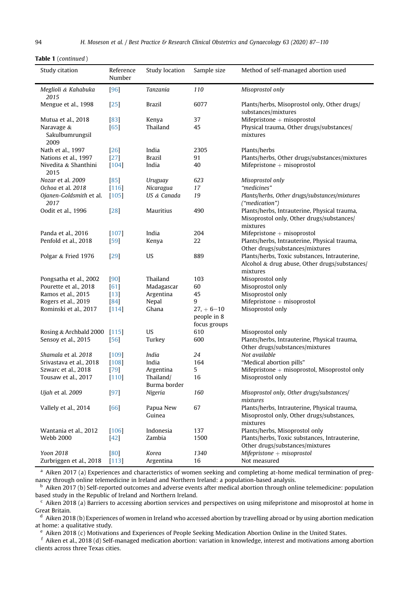|  |  | <b>Table 1</b> (continued) |  |
|--|--|----------------------------|--|
|--|--|----------------------------|--|

| Study citation                        | Reference<br>Number | Study location<br>Sample size |                                               | Method of self-managed abortion used                                                                       |  |
|---------------------------------------|---------------------|-------------------------------|-----------------------------------------------|------------------------------------------------------------------------------------------------------------|--|
| Meglioli & Kahabuka<br>2015           | $[96]$              | <b>Tanzania</b>               | 110                                           | Misoprostol only                                                                                           |  |
| Mengue et al., 1998                   | $[25]$              | <b>Brazil</b>                 | 6077                                          | Plants/herbs, Misoprostol only, Other drugs/<br>substances/mixtures                                        |  |
| Mutua et al., 2018                    | $[83]$              | Kenya                         | 37                                            | Mifepristone $+$ misoprostol                                                                               |  |
| Naravage &<br>Sakulbumrungsil<br>2009 | $[65]$              | Thailand                      | 45                                            | Physical trauma, Other drugs/substances/<br>mixtures                                                       |  |
| Nath et al., 1997                     | $[26]$              | India                         | 2305                                          | Plants/herbs                                                                                               |  |
| Nations et al., 1997                  | $[27]$              | <b>Brazil</b>                 | 91                                            | Plants/herbs, Other drugs/substances/mixtures                                                              |  |
| Nivedita & Shanthini<br>2015          | $[104]$             | India                         | 40                                            | Mifepristone $+$ misoprostol                                                                               |  |
| Nozar et al. 2009                     | $[85]$              | Uruguay                       | 623                                           | Misoprostol only                                                                                           |  |
| Ochoa et al. 2018                     | $[116]$             | Nicaragua                     | 17                                            | "medicines"                                                                                                |  |
| Ojanen-Goldsmith et al.<br>2017       | $[105]$             | US & Canada                   | 19                                            | Plants/herbs, Other drugs/substances/mixtures<br>("medication")                                            |  |
| Oodit et al., 1996                    | $[28]$              | Mauritius                     | 490                                           | Plants/herbs, Intrauterine, Physical trauma,<br>Misoprostol only, Other drugs/substances/<br>mixtures      |  |
| Panda et al., 2016                    | $[107]$             | India                         | 204                                           | Mifepristone $+$ misoprostol                                                                               |  |
| Penfold et al., 2018                  | $[59]$              | Kenya                         | 22                                            | Plants/herbs, Intrauterine, Physical trauma,                                                               |  |
|                                       |                     |                               |                                               | Other drugs/substances/mixtures                                                                            |  |
| Polgar & Fried 1976                   | $[29]$              | US                            | 889                                           | Plants/herbs, Toxic substances, Intrauterine,<br>Alcohol & drug abuse, Other drugs/substances/<br>mixtures |  |
| Pongsatha et al., 2002                | [90]                | Thailand                      | 103                                           | Misoprostol only                                                                                           |  |
| Pourette et al., 2018                 | [61]                | Madagascar                    | 60                                            | Misoprostol only                                                                                           |  |
| Ramos et al., 2015                    | $[13]$              | Argentina                     | 45                                            | Misoprostol only                                                                                           |  |
| Rogers et al., 2019                   | [84]                | Nepal                         | 9                                             | Mifepristone $+$ misoprostol                                                                               |  |
| Rominski et al., 2017                 | $[114]$             | Ghana                         | $27. + 6 - 10$<br>people in 8<br>focus groups | Misoprostol only                                                                                           |  |
| Rosing & Archbald 2000 [115]          |                     | US                            | 610                                           | Misoprostol only                                                                                           |  |
| Sensoy et al., 2015                   | $[56]$              | Turkey                        | 600                                           | Plants/herbs, Intrauterine, Physical trauma,                                                               |  |
|                                       |                     |                               |                                               | Other drugs/substances/mixtures                                                                            |  |
| Shamala et al. 2018                   | $[109]$             | India                         | 24                                            | Not available                                                                                              |  |
| Srivastava et al., 2018               | $[108]$             | India                         | 164                                           | "Medical abortion pills"                                                                                   |  |
| Szwarc et al., 2018                   | $[79]$              | Argentina                     | 5                                             | Mifepristone $+$ misoprostol, Misoprostol only                                                             |  |
| Tousaw et al., 2017                   | $[110]$             | Thailand/<br>Burma border     | 16                                            | Misoprostol only                                                                                           |  |
| <i>Ujah</i> et al. 2009               | $[97]$              | Nigeria                       | 160                                           | Misoprostol only, Other drugs/substances/<br>mixtures                                                      |  |
| Vallely et al., 2014                  | $[66]$              | Papua New<br>Guinea           | 67                                            | Plants/herbs, Intrauterine, Physical trauma,<br>Misoprostol only, Other drugs/substances,<br>mixtures      |  |
| Wantania et al., 2012                 | [106]               | Indonesia                     | 137                                           | Plants/herbs, Misoprostol only                                                                             |  |
| <b>Webb 2000</b>                      | $[42]$              | Zambia                        | 1500                                          | Plants/herbs, Toxic substances, Intrauterine,<br>Other drugs/substances/mixtures                           |  |
| Yoon 2018                             | [80]                | Korea                         | 1340                                          | $M$ ifepristone + misoprostol                                                                              |  |
| Zurbriggen et al., 2018               | [113]               | Argentina                     | 16                                            | Not measured                                                                                               |  |

a Aiken 2017 (a) Experiences and characteristics of women seeking and completing at-home medical termination of pregnancy through online telemedicine in Ireland and Northern Ireland: a population-based analysis.

 $<sup>b</sup>$  Aiken 2017 (b) Self-reported outcomes and adverse events after medical abortion through online telemedicine: population</sup> based study in the Republic of Ireland and Northern Ireland.

 $c$  Aiken 2018 (a) Barriers to accessing abortion services and perspectives on using mifepristone and misoprostol at home in Great Britain.

 $d$  Aiken 2018 (b) Experiences of women in Ireland who accessed abortion by travelling abroad or by using abortion medication at home: a qualitative study.

<sup>e</sup> Aiken 2018 (c) Motivations and Experiences of People Seeking Medication Abortion Online in the United States.

<sup>f</sup> Aiken et al., 2018 (d) Self-managed medication abortion: variation in knowledge, interest and motivations among abortion clients across three Texas cities.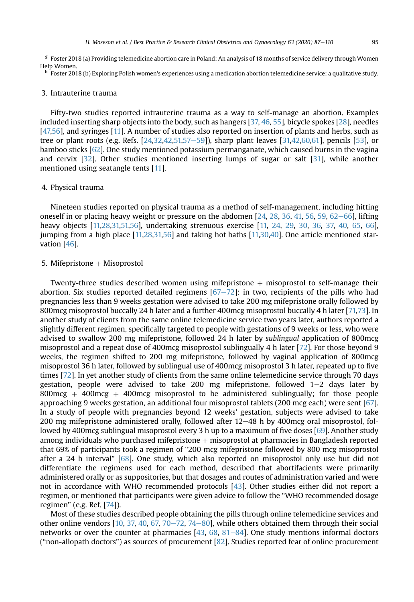$g$  Foster 2018 (a) Providing telemedicine abortion care in Poland: An analysis of 18 months of service delivery through Women Help Women.

<sup>h</sup> Foster 2018 (b) Exploring Polish women's experiences using a medication abortion telemedicine service: a qualitative study.

# 3. Intrauterine trauma

Fifty-two studies reported intrauterine trauma as a way to self-manage an abortion. Examples included inserting sharp objects into the body, such as hangers [\[37,](#page-20-25) [46,](#page-21-14) [55](#page-21-12)], bicycle spokes [[28](#page-20-11)], needles [\[47,](#page-21-17)[56](#page-21-30)], and syringes [\[11\]](#page-20-21). A number of studies also reported on insertion of plants and herbs, such as tree or plant roots (e.g. Refs.  $[24,32,42,51,57-59]$  $[24,32,42,51,57-59]$  $[24,32,42,51,57-59]$  $[24,32,42,51,57-59]$  $[24,32,42,51,57-59]$  $[24,32,42,51,57-59]$  $[24,32,42,51,57-59]$ ), sharp plant leaves  $[31,42,60,61]$  $[31,42,60,61]$  $[31,42,60,61]$  $[31,42,60,61]$  $[31,42,60,61]$ , pencils  $[53]$ , or bamboo sticks [[62](#page-21-15)]. One study mentioned potassium permanganate, which caused burns in the vagina and cervix [[32](#page-20-15)]. Other studies mentioned inserting lumps of sugar or salt [[31](#page-20-13)], while another mentioned using seatangle tents [\[11](#page-20-21)].

#### 4. Physical trauma

Nineteen studies reported on physical trauma as a method of self-management, including hitting oneself in or placing heavy weight or pressure on the abdomen  $[24, 28, 36, 41, 56, 59, 62-66]$  $[24, 28, 36, 41, 56, 59, 62-66]$  $[24, 28, 36, 41, 56, 59, 62-66]$  $[24, 28, 36, 41, 56, 59, 62-66]$  $[24, 28, 36, 41, 56, 59, 62-66]$  $[24, 28, 36, 41, 56, 59, 62-66]$  $[24, 28, 36, 41, 56, 59, 62-66]$  $[24, 28, 36, 41, 56, 59, 62-66]$  $[24, 28, 36, 41, 56, 59, 62-66]$  $[24, 28, 36, 41, 56, 59, 62-66]$  $[24, 28, 36, 41, 56, 59, 62-66]$  $[24, 28, 36, 41, 56, 59, 62-66]$  $[24, 28, 36, 41, 56, 59, 62-66]$  $[24, 28, 36, 41, 56, 59, 62-66]$  $[24, 28, 36, 41, 56, 59, 62-66]$  $[24, 28, 36, 41, 56, 59, 62-66]$ , lifting heavy objects [\[11,](#page-20-21)[28](#page-20-11)[,31,](#page-20-13)[51,](#page-21-6)[56](#page-21-30)], undertaking strenuous exercise [[11,](#page-20-21) [24,](#page-20-10) [29](#page-20-14), [30](#page-20-12), [36,](#page-20-22) [37,](#page-20-25) [40](#page-20-23), [65,](#page-21-27) [66](#page-21-31)], jumping from a high place [[11,](#page-20-21)[28](#page-20-11),[31,](#page-20-13)[56\]](#page-21-30) and taking hot baths [\[11,](#page-20-21)[30,](#page-20-12)[40](#page-20-23)]. One article mentioned starvation [\[46\]](#page-21-14).

# 5. Mifepristone  $+$  Misoprostol

Twenty-three studies described women using mifepristone  $+$  misoprostol to self-manage their abortion. Six studies reported detailed regimens  $[67–72]$  $[67–72]$  $[67–72]$  $[67–72]$  $[67–72]$ : in two, recipients of the pills who had pregnancies less than 9 weeks gestation were advised to take 200 mg mifepristone orally followed by 800mcg misoprostol buccally 24 h later and a further 400mcg misoprostol buccally 4 h later [[71,](#page-21-22)[73\]](#page-22-33). In another study of clients from the same online telemedicine service two years later, authors reported a slightly different regimen, specifically targeted to people with gestations of 9 weeks or less, who were advised to swallow 200 mg mifepristone, followed 24 h later by sublingual application of 800mcg misoprostol and a repeat dose of 400mcg misoprostol sublingually 4 h later [\[72\]](#page-21-23). For those beyond 9 weeks, the regimen shifted to 200 mg mifepristone, followed by vaginal application of 800mcg misoprostol 36 h later, followed by sublingual use of 400mcg misoprostol 3 h later, repeated up to five times [[72\]](#page-21-23). In yet another study of clients from the same online telemedicine service through 70 days gestation, people were advised to take 200 mg mifepristone, followed  $1-2$  days later by 800mcg  $+$  400mcg  $+$  400mcg misoprostol to be administered sublingually; for those people approaching 9 weeks gestation, an additional four misoprostol tablets (200 mcg each) were sent [[67](#page-21-18)]. In a study of people with pregnancies beyond 12 weeks' gestation, subjects were advised to take 200 mg mifepristone administered orally, followed after  $12-48$  h by 400mcg oral misoprostol, followed by 400mcg sublingual misoprostol every 3 h up to a maximum of five doses [\[69](#page-21-20)]. Another study among individuals who purchased mifepristone  $+$  misoprostol at pharmacies in Bangladesh reported that 69% of participants took a regimen of "200 mcg mifepristone followed by 800 mcg misoprostol after a 24 h interval" [[68](#page-21-19)]. One study, which also reported on misoprostol only use but did not differentiate the regimens used for each method, described that abortifacients were primarily administered orally or as suppositories, but that dosages and routes of administration varied and were not in accordance with WHO recommended protocols [\[43\]](#page-21-3). Other studies either did not report a regimen, or mentioned that participants were given advice to follow the "WHO recommended dosage regimen" (e.g. Ref. [\[74\]](#page-22-1)).

Most of these studies described people obtaining the pills through online telemedicine services and other online vendors  $[10, 37, 40, 67, 70-72, 74-80]$  $[10, 37, 40, 67, 70-72, 74-80]$  $[10, 37, 40, 67, 70-72, 74-80]$  $[10, 37, 40, 67, 70-72, 74-80]$  $[10, 37, 40, 67, 70-72, 74-80]$  $[10, 37, 40, 67, 70-72, 74-80]$  $[10, 37, 40, 67, 70-72, 74-80]$  $[10, 37, 40, 67, 70-72, 74-80]$  $[10, 37, 40, 67, 70-72, 74-80]$  $[10, 37, 40, 67, 70-72, 74-80]$  $[10, 37, 40, 67, 70-72, 74-80]$  $[10, 37, 40, 67, 70-72, 74-80]$  $[10, 37, 40, 67, 70-72, 74-80]$  $[10, 37, 40, 67, 70-72, 74-80]$  $[10, 37, 40, 67, 70-72, 74-80]$  $[10, 37, 40, 67, 70-72, 74-80]$ , while others obtained them through their social networks or over the counter at pharmacies  $[43, 68, 81–84]$  $[43, 68, 81–84]$  $[43, 68, 81–84]$  $[43, 68, 81–84]$  $[43, 68, 81–84]$  $[43, 68, 81–84]$  $[43, 68, 81–84]$ . One study mentions informal doctors ("non-allopath doctors") as sources of procurement [[82](#page-22-8)]. Studies reported fear of online procurement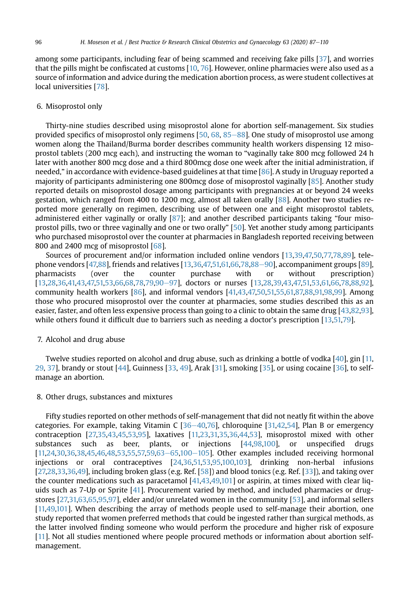among some participants, including fear of being scammed and receiving fake pills [[37\]](#page-20-25), and worries that the pills might be confiscated at customs [[10,](#page-20-1) [76\]](#page-22-3). However, online pharmacies were also used as a source of information and advice during the medication abortion process, as were student collectives at local universities [\[78\]](#page-22-20).

# 6. Misoprostol only

Thirty-nine studies described using misoprostol alone for abortion self-management. Six studies provided specifics of misoprostol only regimens  $[50, 68, 85-88]$  $[50, 68, 85-88]$  $[50, 68, 85-88]$  $[50, 68, 85-88]$  $[50, 68, 85-88]$  $[50, 68, 85-88]$  $[50, 68, 85-88]$  $[50, 68, 85-88]$ . One study of misoprostol use among women along the Thailand/Burma border describes community health workers dispensing 12 misoprostol tablets (200 mcg each), and instructing the woman to "vaginally take 800 mcg followed 24 h later with another 800 mcg dose and a third 800mcg dose one week after the initial administration, if needed," in accordance with evidence-based guidelines at that time [\[86\]](#page-22-13). A study in Uruguay reported a majority of participants administering one 800mcg dose of misoprostol vaginally [[85](#page-22-25)]. Another study reported details on misoprostol dosage among participants with pregnancies at or beyond 24 weeks gestation, which ranged from 400 to 1200 mcg, almost all taken orally [\[88\]](#page-22-19). Another two studies reported more generally on regimen, describing use of between one and eight misoprostol tablets, administered either vaginally or orally [[87](#page-22-18)]; and another described participants taking "four misoprostol pills, two or three vaginally and one or two orally" [[50](#page-21-16)]. Yet another study among participants who purchased misoprostol over the counter at pharmacies in Bangladesh reported receiving between 800 and 2400 mcg of misoprostol [\[68](#page-21-19)].

Sources of procurement and/or information included online vendors [[13,](#page-20-30)[39](#page-20-28),[47,](#page-21-17)[50,](#page-21-16)[77,](#page-22-14)[78,](#page-22-20)[89](#page-22-10)], telephone vendors  $[47,88]$  $[47,88]$  $[47,88]$ , friends and relatives  $[13,36,47,51,61,66,78,88-90]$  $[13,36,47,51,61,66,78,88-90]$  $[13,36,47,51,61,66,78,88-90]$  $[13,36,47,51,61,66,78,88-90]$  $[13,36,47,51,61,66,78,88-90]$  $[13,36,47,51,61,66,78,88-90]$  $[13,36,47,51,61,66,78,88-90]$  $[13,36,47,51,61,66,78,88-90]$  $[13,36,47,51,61,66,78,88-90]$  $[13,36,47,51,61,66,78,88-90]$  $[13,36,47,51,61,66,78,88-90]$ , accompaniment groups  $[89]$ , pharmacists (over the counter purchase with or without prescription) [[13,](#page-20-30)[28](#page-20-11)[,36](#page-20-22)[,41,](#page-21-1)[43](#page-21-3)[,47,](#page-21-17)[51,](#page-21-6)[53](#page-21-8),[66,](#page-21-31)[68,](#page-21-19)[78](#page-22-20)[,79,](#page-22-29)[90](#page-22-27)-[97\]](#page-22-27), doctors or nurses [[13](#page-20-30)[,28,](#page-20-11)[39](#page-20-28)[,43,](#page-21-3)[47,](#page-21-17)51,[53,](#page-21-8)[61,](#page-21-29)[66](#page-21-31)[,78,](#page-22-20)[88](#page-22-19)[,92\]](#page-22-4), community health workers [\[86\]](#page-22-13), and informal vendors [\[41,](#page-21-1)[43](#page-21-3),[47,](#page-21-17)[50,](#page-21-16)[51,](#page-21-6)[55](#page-21-12)[,61,](#page-21-29)[87,](#page-22-18)[88,](#page-22-19)[91,](#page-22-12)[98,](#page-22-7)[99](#page-22-11)]. Among those who procured misoprostol over the counter at pharmacies, some studies described this as an easier, faster, and often less expensive process than going to a clinic to obtain the same drug [\[43,](#page-21-3)[82](#page-22-8)[,93\]](#page-22-15), while others found it difficult due to barriers such as needing a doctor's prescription [\[13](#page-20-30)[,51,](#page-21-6)[79\]](#page-22-29).

# 7. Alcohol and drug abuse

Twelve studies reported on alcohol and drug abuse, such as drinking a bottle of vodka [\[40\]](#page-20-23), gin [[11,](#page-20-21) [29](#page-20-14), [37\]](#page-20-25), brandy or stout [\[44\]](#page-21-9), Guinness [[33](#page-20-18), [49\]](#page-21-10), Arak [[31\]](#page-20-18), smoking [[35\]](#page-20-18), or using cocaine [[36](#page-20-22)], to selfmanage an abortion.

# 8. Other drugs, substances and mixtures

Fifty studies reported on other methods of self-management that did not neatly fit within the above categories. For example, taking Vitamin C  $[36-40,76]$  $[36-40,76]$  $[36-40,76]$  $[36-40,76]$  $[36-40,76]$  $[36-40,76]$ , chloroquine  $[31,42,54]$  $[31,42,54]$  $[31,42,54]$  $[31,42,54]$ , Plan B or emergency contraception [[27](#page-20-16)[,35,](#page-20-20)[43](#page-21-3)[,45,](#page-21-4)[53,](#page-21-8)[95](#page-22-17)], laxatives [\[11,](#page-20-21)[23](#page-20-29)[,31,](#page-20-13)[35](#page-20-20)[,36](#page-20-22)[,44](#page-21-9)[,53\]](#page-21-8), misoprostol mixed with other substances such as beer, plants, or injections [\[44,](#page-21-9)[98](#page-22-7)[,100](#page-22-21)], or unspecified drugs  $[11,24,30,36,38,45,46,48,53,55,57,59,63-65,100-105]$  $[11,24,30,36,38,45,46,48,53,55,57,59,63-65,100-105]$  $[11,24,30,36,38,45,46,48,53,55,57,59,63-65,100-105]$  $[11,24,30,36,38,45,46,48,53,55,57,59,63-65,100-105]$  $[11,24,30,36,38,45,46,48,53,55,57,59,63-65,100-105]$  $[11,24,30,36,38,45,46,48,53,55,57,59,63-65,100-105]$  $[11,24,30,36,38,45,46,48,53,55,57,59,63-65,100-105]$  $[11,24,30,36,38,45,46,48,53,55,57,59,63-65,100-105]$  $[11,24,30,36,38,45,46,48,53,55,57,59,63-65,100-105]$  $[11,24,30,36,38,45,46,48,53,55,57,59,63-65,100-105]$  $[11,24,30,36,38,45,46,48,53,55,57,59,63-65,100-105]$  $[11,24,30,36,38,45,46,48,53,55,57,59,63-65,100-105]$  $[11,24,30,36,38,45,46,48,53,55,57,59,63-65,100-105]$  $[11,24,30,36,38,45,46,48,53,55,57,59,63-65,100-105]$  $[11,24,30,36,38,45,46,48,53,55,57,59,63-65,100-105]$  $[11,24,30,36,38,45,46,48,53,55,57,59,63-65,100-105]$  $[11,24,30,36,38,45,46,48,53,55,57,59,63-65,100-105]$  $[11,24,30,36,38,45,46,48,53,55,57,59,63-65,100-105]$  $[11,24,30,36,38,45,46,48,53,55,57,59,63-65,100-105]$  $[11,24,30,36,38,45,46,48,53,55,57,59,63-65,100-105]$  $[11,24,30,36,38,45,46,48,53,55,57,59,63-65,100-105]$ . Other examples included receiving hormonal injections or oral contraceptives [[24](#page-20-10)[,36](#page-20-22)[,51,](#page-21-6)[53](#page-21-8)[,95](#page-22-17)[,100,](#page-22-21)[103\]](#page-22-9), drinking non-herbal infusions [[27,](#page-20-16)[28,](#page-20-11)[33](#page-20-18),[36](#page-20-22)[,49\]](#page-21-10), including broken glass (e.g. Ref. [[58](#page-21-26)]) and blood tonics (e.g. Ref. [[33](#page-20-18)]), and taking over the counter medications such as paracetamol [\[41,](#page-21-1)[43,](#page-21-3)[49](#page-21-10)[,101](#page-22-0)] or aspirin, at times mixed with clear liquids such as 7-Up or Sprite [\[41](#page-20-18)]. Procurement varied by method, and included pharmacies or drugstores [[27,](#page-20-16)[31,](#page-20-13)[63,](#page-21-13)[65](#page-21-27)[,95,](#page-22-17)[97\]](#page-22-30), elder and/or unrelated women in the community [[53](#page-21-8)], and informal sellers [[11,](#page-20-21)[49](#page-21-10)[,101\]](#page-22-0). When describing the array of methods people used to self-manage their abortion, one study reported that women preferred methods that could be ingested rather than surgical methods, as the latter involved finding someone who would perform the procedure and higher risk of exposure [[11](#page-20-21)]. Not all studies mentioned where people procured methods or information about abortion selfmanagement.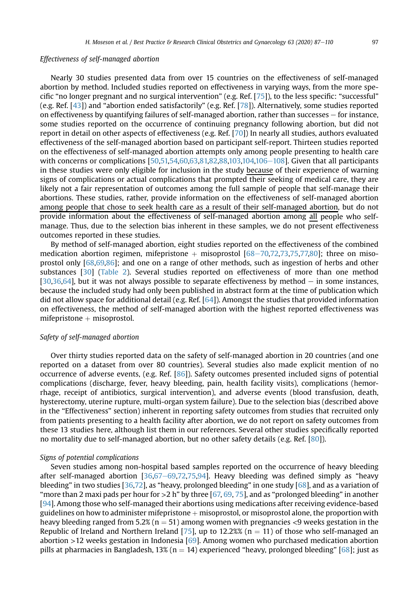#### Effectiveness of self-managed abortion

Nearly 30 studies presented data from over 15 countries on the effectiveness of self-managed abortion by method. Included studies reported on effectiveness in varying ways, from the more specific "no longer pregnant and no surgical intervention" (e.g. Ref. [[75](#page-22-2)]), to the less specific: "successful" (e.g. Ref. [\[43\]](#page-21-3)) and "abortion ended satisfactorily" (e.g. Ref. [\[78\]](#page-22-20)). Alternatively, some studies reported on effectiveness by quantifying failures of self-managed abortion, rather than successes  $-$  for instance, some studies reported on the occurrence of continuing pregnancy following abortion, but did not report in detail on other aspects of effectiveness (e.g. Ref. [\[70\]](#page-21-21)) In nearly all studies, authors evaluated effectiveness of the self-managed abortion based on participant self-report. Thirteen studies reported on the effectiveness of self-managed abortion attempts only among people presenting to health care with concerns or complications  $[50,51,54,60,63,81,82,88,103,104,106-108]$  $[50,51,54,60,63,81,82,88,103,104,106-108]$  $[50,51,54,60,63,81,82,88,103,104,106-108]$  $[50,51,54,60,63,81,82,88,103,104,106-108]$  $[50,51,54,60,63,81,82,88,103,104,106-108]$  $[50,51,54,60,63,81,82,88,103,104,106-108]$  $[50,51,54,60,63,81,82,88,103,104,106-108]$  $[50,51,54,60,63,81,82,88,103,104,106-108]$  $[50,51,54,60,63,81,82,88,103,104,106-108]$  $[50,51,54,60,63,81,82,88,103,104,106-108]$  $[50,51,54,60,63,81,82,88,103,104,106-108]$  $[50,51,54,60,63,81,82,88,103,104,106-108]$  $[50,51,54,60,63,81,82,88,103,104,106-108]$  $[50,51,54,60,63,81,82,88,103,104,106-108]$  $[50,51,54,60,63,81,82,88,103,104,106-108]$ . Given that all participants in these studies were only eligible for inclusion in the study because of their experience of warning signs of complications or actual complications that prompted their seeking of medical care, they are likely not a fair representation of outcomes among the full sample of people that self-manage their abortions. These studies, rather, provide information on the effectiveness of self-managed abortion among people that chose to seek health care as a result of their self-managed abortion, but do not provide information about the effectiveness of self-managed abortion among all people who selfmanage. Thus, due to the selection bias inherent in these samples, we do not present effectiveness outcomes reported in these studies.

By method of self-managed abortion, eight studies reported on the effectiveness of the combined medication abortion regimen, mifepristone  $+$  misoprostol  $[68-70,72,73,75,77,80]$  $[68-70,72,73,75,77,80]$  $[68-70,72,73,75,77,80]$  $[68-70,72,73,75,77,80]$  $[68-70,72,73,75,77,80]$  $[68-70,72,73,75,77,80]$  $[68-70,72,73,75,77,80]$  $[68-70,72,73,75,77,80]$  $[68-70,72,73,75,77,80]$  $[68-70,72,73,75,77,80]$ ; three on misoprostol only [\[68,](#page-21-19)[69](#page-21-20),[86](#page-22-13)]; and one on a range of other methods, such as ingestion of herbs and other substances [[30](#page-20-12)] [\(Table 2](#page-12-0)). Several studies reported on effectiveness of more than one method  $[30,36,64]$  $[30,36,64]$  $[30,36,64]$ , but it was not always possible to separate effectiveness by method  $-$  in some instances, because the included study had only been published in abstract form at the time of publication which did not allow space for additional detail (e.g. Ref.  $[64]$  $[64]$  $[64]$ ). Amongst the studies that provided information on effectiveness, the method of self-managed abortion with the highest reported effectiveness was  $m$ ifepristone  $+$  misoprostol.

# Safety of self-managed abortion

Over thirty studies reported data on the safety of self-managed abortion in 20 countries (and one reported on a dataset from over 80 countries). Several studies also made explicit mention of no occurrence of adverse events, (e.g. Ref. [[86](#page-22-13)]). Safety outcomes presented included signs of potential complications (discharge, fever, heavy bleeding, pain, health facility visits), complications (hemorrhage, receipt of antibiotics, surgical intervention), and adverse events (blood transfusion, death, hysterectomy, uterine rupture, multi-organ system failure). Due to the selection bias (described above in the "Effectiveness" section) inherent in reporting safety outcomes from studies that recruited only from patients presenting to a health facility after abortion, we do not report on safety outcomes from these 13 studies here, although list them in our references. Several other studies specifically reported no mortality due to self-managed abortion, but no other safety details (e.g. Ref. [\[80\]](#page-22-32)).

#### Signs of potential complications

Seven studies among non-hospital based samples reported on the occurrence of heavy bleeding after self-managed abortion  $[36,67-69,72,75,94]$  $[36,67-69,72,75,94]$  $[36,67-69,72,75,94]$  $[36,67-69,72,75,94]$  $[36,67-69,72,75,94]$  $[36,67-69,72,75,94]$  $[36,67-69,72,75,94]$  $[36,67-69,72,75,94]$  $[36,67-69,72,75,94]$ . Heavy bleeding was defined simply as "heavy bleeding" in two studies [[36](#page-20-22)[,72\]](#page-21-23), as "heavy, prolonged bleeding" in one study [[68\]](#page-21-19), and as a variation of "more than 2 maxi pads per hour for  $>2$  h" by three [\[67,](#page-21-18) [69](#page-21-20), [75](#page-22-2)], and as "prolonged bleeding" in another [\[94\]](#page-22-16). Among those who self-managed their abortions using medications after receiving evidence-based guidelines on how to administer mifepristone  $+$  misoprostol, or misoprostol alone, the proportion with heavy bleeding ranged from 5.2% ( $n = 51$ ) among women with pregnancies <9 weeks gestation in the Republic of Ireland and Northern Ireland [[75](#page-22-2)], up to 12.2%% ( $n = 11$ ) of those who self-managed an abortion  $>12$  weeks gestation in Indonesia [[69](#page-21-20)]. Among women who purchased medication abortion pills at pharmacies in Bangladesh, 13% (n = 14) experienced "heavy, prolonged bleeding" [[68\]](#page-21-19); just as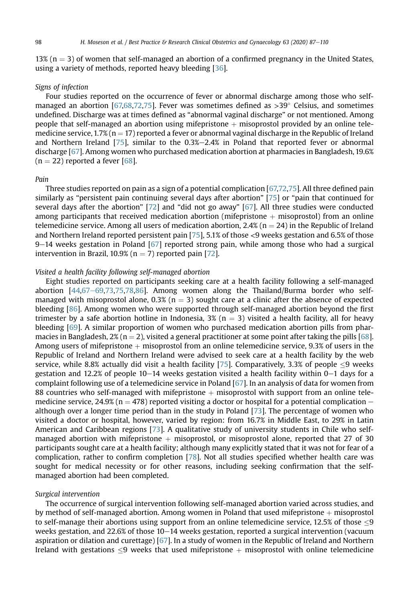13% ( $n = 3$ ) of women that self-managed an abortion of a confirmed pregnancy in the United States, using a variety of methods, reported heavy bleeding [\[36\]](#page-20-22).

# Signs of infection

Four studies reported on the occurrence of fever or abnormal discharge among those who self-managed an abortion [\[67,](#page-21-18)[68](#page-21-19)[,72](#page-21-23)[,75\]](#page-22-2). Fever was sometimes defined as  $>$ 39 $^{\circ}$  Celsius, and sometimes undefined. Discharge was at times defined as "abnormal vaginal discharge" or not mentioned. Among people that self-managed an abortion using mifepristone  $+$  misoprostol provided by an online telemedicine service,  $1.7\%$  (n = 17) reported a fever or abnormal vaginal discharge in the Republic of Ireland and Northern Ireland  $[75]$ , similar to the 0.3% $-2.4%$  in Poland that reported fever or abnormal discharge [[67\]](#page-21-18). Among women who purchased medication abortion at pharmacies in Bangladesh, 19.6%  $(n = 22)$  reported a fever [[68](#page-21-19)].

#### Pain

Three studies reported on pain as a sign of a potential complication [\[67,](#page-21-18)[72](#page-21-23)[,75\]](#page-22-2). All three defined pain similarly as "persistent pain continuing several days after abortion" [[75](#page-22-2)] or "pain that continued for several days after the abortion" [[72](#page-21-23)] and "did not go away" [[67](#page-21-18)]. All three studies were conducted among participants that received medication abortion (mifepristone  $+$  misoprostol) from an online telemedicine service. Among all users of medication abortion, 2.4% ( $n = 24$ ) in the Republic of Ireland and Northern Ireland reported persistent pain [[75](#page-22-2)], 5.1% of those <9 weeks gestation and 6.5% of those  $9-14$  weeks gestation in Poland [\[67\]](#page-21-18) reported strong pain, while among those who had a surgical intervention in Brazil, 10.9% ( $n = 7$ ) reported pain [\[72](#page-21-23)].

#### Visited a health facility following self-managed abortion

Eight studies reported on participants seeking care at a health facility following a self-managed abortion  $[44,67-69,73,75,78,86]$  $[44,67-69,73,75,78,86]$  $[44,67-69,73,75,78,86]$  $[44,67-69,73,75,78,86]$  $[44,67-69,73,75,78,86]$  $[44,67-69,73,75,78,86]$  $[44,67-69,73,75,78,86]$  $[44,67-69,73,75,78,86]$  $[44,67-69,73,75,78,86]$  $[44,67-69,73,75,78,86]$  $[44,67-69,73,75,78,86]$  $[44,67-69,73,75,78,86]$ . Among women along the Thailand/Burma border who selfmanaged with misoprostol alone,  $0.3\%$  (n  $=$  3) sought care at a clinic after the absence of expected bleeding [\[86\]](#page-22-13). Among women who were supported through self-managed abortion beyond the first trimester by a safe abortion hotline in Indonesia,  $3\%$  (n = 3) visited a health facility, all for heavy bleeding [\[69\]](#page-21-20). A similar proportion of women who purchased medication abortion pills from phar-macies in Bangladesh, 2% (n = 2), visited a general practitioner at some point after taking the pills [[68\]](#page-21-19). Among users of mifepristone  $+$  misoprostol from an online telemedicine service, 9.3% of users in the Republic of Ireland and Northern Ireland were advised to seek care at a health facility by the web service, while 8.8% actually did visit a health facility [[75](#page-22-2)]. Comparatively, 3.3% of people  $\leq$ 9 weeks gestation and 12.2% of people  $10-14$  weeks gestation visited a health facility within  $0-1$  days for a complaint following use of a telemedicine service in Poland  $[67]$  $[67]$  $[67]$ . In an analysis of data for women from 88 countries who self-managed with mifepristone  $+$  misoprostol with support from an online telemedicine service, 24.9% (n = 478) reported visiting a doctor or hospital for a potential complication  $$ although over a longer time period than in the study in Poland [[73](#page-22-33)]. The percentage of women who visited a doctor or hospital, however, varied by region: from 16.7% in Middle East, to 29% in Latin American and Caribbean regions [\[73](#page-22-33)]. A qualitative study of university students in Chile who selfmanaged abortion with mifepristone  $+$  misoprostol, or misoprostol alone, reported that 27 of 30 participants sought care at a health facility; although many explicitly stated that it was not for fear of a complication, rather to confirm completion [\[78\]](#page-22-20). Not all studies specified whether health care was sought for medical necessity or for other reasons, including seeking confirmation that the selfmanaged abortion had been completed.

#### Surgical intervention

The occurrence of surgical intervention following self-managed abortion varied across studies, and by method of self-managed abortion. Among women in Poland that used mifepristone  $+$  misoprostol to self-manage their abortions using support from an online telemedicine service,  $12.5\%$  of those  $\leq 9$ weeks gestation, and 22.6% of those  $10-14$  weeks gestation, reported a surgical intervention (vacuum aspiration or dilation and curettage) [\[67\]](#page-21-18). In a study of women in the Republic of Ireland and Northern Ireland with gestations  $\leq$ 9 weeks that used mifepristone  $+$  misoprostol with online telemedicine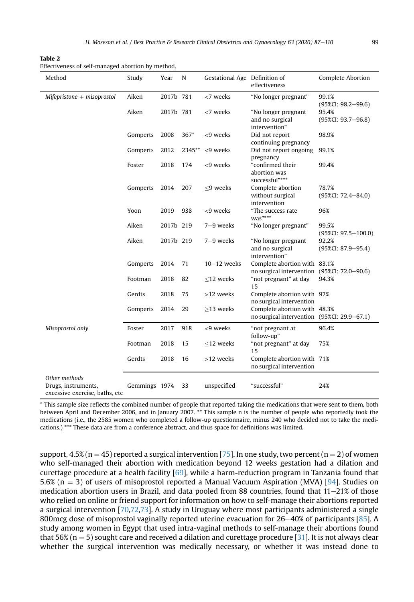<span id="page-12-0"></span>Table 2 Effectiveness of self-managed abortion by method.

| Method                                                                 | Study         | Year      | N      | Gestational Age Definition of | effectiveness                                                               | Complete Abortion                 |
|------------------------------------------------------------------------|---------------|-----------|--------|-------------------------------|-----------------------------------------------------------------------------|-----------------------------------|
| $M$ ifepristone + misoprostol                                          | Aiken         | 2017b 781 |        | <7 weeks                      | "No longer pregnant"                                                        | 99.1%<br>$(95\%CI: 98.2 - 99.6)$  |
|                                                                        | Aiken         | 2017b 781 |        | <7 weeks                      | "No longer pregnant<br>and no surgical<br>intervention"                     | 95.4%<br>$(95\%CI: 93.7 - 96.8)$  |
|                                                                        | Gomperts      | 2008      | $367*$ | <9 weeks                      | Did not report<br>continuing pregnancy                                      | 98.9%                             |
|                                                                        | Gomperts      | 2012      | 2345** | <9 weeks                      | Did not report ongoing<br>pregnancy                                         | 99.1%                             |
|                                                                        | Foster        | 2018      | 174    | <9 weeks                      | "confirmed their<br>abortion was<br>successful"***                          | 99.4%                             |
|                                                                        | Gomperts      | 2014      | 207    | <9 weeks                      | Complete abortion<br>without surgical<br>intervention                       | 78.7%<br>$(95\%CI: 72.4 - 84.0)$  |
|                                                                        | Yoon          | 2019      | 938    | <9 weeks                      | "The success rate<br>$was***$                                               | 96%                               |
|                                                                        | Aiken         | 2017b 219 |        | 7-9 weeks                     | "No longer pregnant"                                                        | 99.5%<br>$(95\%CI: 97.5 - 100.0)$ |
|                                                                        | Aiken         | 2017b 219 |        | 7-9 weeks                     | "No longer pregnant<br>and no surgical<br>intervention"                     | 92.2%<br>$(95\%CI: 87.9 - 95.4)$  |
|                                                                        | Gomperts      | 2014      | 71     | $10-12$ weeks                 | Complete abortion with 83.1%<br>no surgical intervention (95%CI: 72.0-90.6) |                                   |
|                                                                        | Footman       | 2018      | 82     | $\leq$ 12 weeks               | "not pregnant" at day<br>15                                                 | 94.3%                             |
|                                                                        | Gerdts        | 2018      | 75     | >12 weeks                     | Complete abortion with 97%<br>no surgical intervention                      |                                   |
|                                                                        | Gomperts      | 2014      | 29     | $\geq$ 13 weeks               | Complete abortion with 48.3%<br>no surgical intervention (95%CI: 29.9–67.1) |                                   |
| Misoprostol only                                                       | Foster        | 2017      | 918    | <9 weeks                      | "not pregnant at<br>follow-up"                                              | 96.4%                             |
|                                                                        | Footman       | 2018      | 15     | $<$ 12 weeks                  | "not pregnant" at day<br>15                                                 | 75%                               |
|                                                                        | Gerdts        | 2018      | 16     | >12 weeks                     | Complete abortion with 71%<br>no surgical intervention                      |                                   |
| Other methods<br>Drugs, instruments,<br>excessive exercise, baths, etc | Gemmings 1974 |           | 33     | unspecified                   | "successful"                                                                | 24%                               |

\* This sample size reflects the combined number of people that reported taking the medications that were sent to them, both between April and December 2006, and in January 2007. \*\* This sample n is the number of people who reportedly took the medications (i.e., the 2585 women who completed a follow-up questionnaire, minus 240 who decided not to take the medications.) \*\*\* These data are from a conference abstract, and thus space for definitions was limited.

support,  $4.5\%$  (n = 45) reported a surgical intervention [\[75\]](#page-22-2). In one study, two percent (n = 2) of women who self-managed their abortion with medication beyond 12 weeks gestation had a dilation and curettage procedure at a health facility [\[69\]](#page-21-20), while a harm-reduction program in Tanzania found that 5.6% (n = 3) of users of misoprostol reported a Manual Vacuum Aspiration (MVA) [\[94\]](#page-22-16). Studies on medication abortion users in Brazil, and data pooled from 88 countries, found that  $11-21\%$  of those who relied on online or friend support for information on how to self-manage their abortions reported a surgical intervention [\[70](#page-21-21)[,72,](#page-21-23)[73\]](#page-22-33). A study in Uruguay where most participants administered a single 800mcg dose of misoprostol vaginally reported uterine evacuation for  $26-40\%$  of participants [[85](#page-22-25)]. A study among women in Egypt that used intra-vaginal methods to self-manage their abortions found that 56% ( $n = 5$ ) sought care and received a dilation and curettage procedure [\[31](#page-20-13)]. It is not always clear whether the surgical intervention was medically necessary, or whether it was instead done to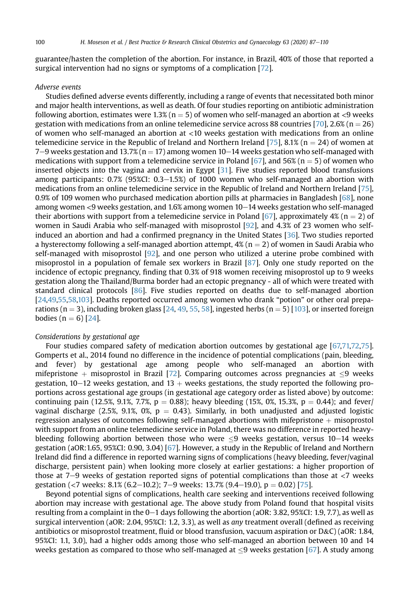guarantee/hasten the completion of the abortion. For instance, in Brazil, 40% of those that reported a surgical intervention had no signs or symptoms of a complication [[72\]](#page-21-23).

#### Adverse events

Studies defined adverse events differently, including a range of events that necessitated both minor and major health interventions, as well as death. Of four studies reporting on antibiotic administration following abortion, estimates were  $1.3\%$  (n = 5) of women who self-managed an abortion at <9 weeks gestation with medications from an online telemedicine service across 88 countries [[70](#page-21-21)], 2.6% ( $n = 26$ ) of women who self-managed an abortion at <10 weeks gestation with medications from an online telemedicine service in the Republic of Ireland and Northern Ireland [[75](#page-22-2)], 8.1% (n = 24) of women at 7–9 weeks gestation and 13.7% ( $n = 17$ ) among women 10–14 weeks gestation who self-managed with medications with support from a telemedicine service in Poland [[67](#page-21-18)], and 56% ( $n = 5$ ) of women who inserted objects into the vagina and cervix in Egypt [\[31](#page-20-13)]. Five studies reported blood transfusions among participants:  $0.7\%$  (95%CI:  $0.3-1.5\%$ ) of 1000 women who self-managed an abortion with medications from an online telemedicine service in the Republic of Ireland and Northern Ireland [\[75\]](#page-22-2), 0.9% of 109 women who purchased medication abortion pills at pharmacies in Bangladesh [[68](#page-21-19)], none among women  $\lt 9$  weeks gestation, and 1.6% among women  $10-14$  weeks gestation who self-managed their abortions with support from a telemedicine service in Poland [\[67\]](#page-21-18), approximately  $4\%$  (n = 2) of women in Saudi Arabia who self-managed with misoprostol [[92](#page-22-4)], and 4.3% of 23 women who selfinduced an abortion and had a confirmed pregnancy in the United States [\[36\]](#page-20-22). Two studies reported a hysterectomy following a self-managed abortion attempt,  $4\frac{1}{2}$  (n = 2) of women in Saudi Arabia who self-managed with misoprostol  $[92]$ , and one person who utilized a uterine probe combined with misoprostol in a population of female sex workers in Brazil [[87](#page-22-18)]. Only one study reported on the incidence of ectopic pregnancy, finding that 0.3% of 918 women receiving misoprostol up to 9 weeks gestation along the Thailand/Burma border had an ectopic pregnancy - all of which were treated with standard clinical protocols [[86](#page-22-13)]. Five studies reported on deaths due to self-managed abortion [[24](#page-20-10)[,49,](#page-21-10)[55](#page-21-12),[58](#page-21-26)[,103](#page-22-9)]. Deaths reported occurred among women who drank "potion" or other oral prepa-rations (n = 3), including broken glass [[24,](#page-20-10) [49](#page-21-10), [55,](#page-21-12) [58](#page-21-26)], ingested herbs (n = 5) [\[103\]](#page-22-9), or inserted foreign bodies ( $n = 6$ ) [[24\]](#page-20-10).

# Considerations by gestational age

Four studies compared safety of medication abortion outcomes by gestational age [[67,](#page-21-18)[71,](#page-21-22)[72](#page-21-23)[,75\]](#page-22-2). Gomperts et al., 2014 found no difference in the incidence of potential complications (pain, bleeding, and fever) by gestational age among people who self-managed an abortion with mifepristone  $+$  misoprostol in Brazil [[72](#page-21-23)]. Comparing outcomes across pregnancies at  $\leq$ 9 weeks gestation,  $10-12$  weeks gestation, and  $13 +$  weeks gestations, the study reported the following proportions across gestational age groups (in gestational age category order as listed above) by outcome: continuing pain (12.5%, 9.1%, 7.7%, p = 0.88); heavy bleeding (15%, 0%, 15.3%, p = 0.44); and fever/ vaginal discharge (2.5%, 9.1%, 0%,  $p = 0.43$ ). Similarly, in both unadjusted and adjusted logistic regression analyses of outcomes following self-managed abortions with mifepristone  $+$  misoprostol with support from an online telemedicine service in Poland, there was no difference in reported heavybleeding following abortion between those who were  $\leq 9$  weeks gestation, versus 10-14 weeks gestation (aOR:1.65, 95%CI: 0.90, 3.04) [\[67\]](#page-21-18). However, a study in the Republic of Ireland and Northern Ireland did find a difference in reported warning signs of complications (heavy bleeding, fever/vaginal discharge, persistent pain) when looking more closely at earlier gestations: a higher proportion of those at 7–9 weeks of gestation reported signs of potential complications than those at  $\langle 7 \rangle$  weeks gestation (<7 weeks: 8.1% (6.2–10.2); 7–9 weeks: 13.7% (9.4–19.0),  $p = 0.02$  [\[75\]](#page-22-2).

Beyond potential signs of complications, health care seeking and interventions received following abortion may increase with gestational age. The above study from Poland found that hospital visits resulting from a complaint in the  $0-1$  days following the abortion (aOR: 3.82, 95%CI: 1.9, 7.7), as well as surgical intervention (aOR: 2.04, 95%CI: 1.2, 3.3), as well as any treatment overall (defined as receiving antibiotics or misoprostol treatment, fluid or blood transfusion, vacuum aspiration or D&C) (aOR: 1.84, 95%CI: 1.1, 3.0), had a higher odds among those who self-managed an abortion between 10 and 14 weeks gestation as compared to those who self-managed at  $\leq$ 9 weeks gestation [[67](#page-21-18)]. A study among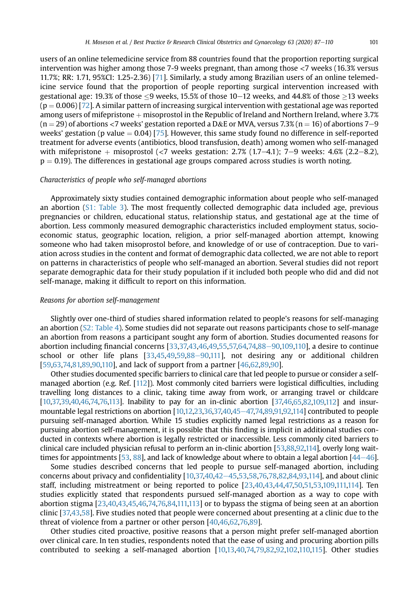users of an online telemedicine service from 88 countries found that the proportion reporting surgical intervention was higher among those 7-9 weeks pregnant, than among those <7 weeks (16.3% versus 11.7%; RR: 1.71, 95%CI: 1.25-2.36) [[71\]](#page-21-22). Similarly, a study among Brazilian users of an online telemedicine service found that the proportion of people reporting surgical intervention increased with gestational age: 19.3% of those <9 weeks, 15.5% of those  $10-12$  weeks, and 44.8% of those >13 weeks  $(p = 0.006)$  [\[72](#page-21-23)]. A similar pattern of increasing surgical intervention with gestational age was reported among users of mifepristone  $+$  misoprostol in the Republic of Ireland and Northern Ireland, where 3.7%  $(n = 29)$  of abortions <7 weeks' gestation reported a D&E or MVA, versus 7.3% (n = 16) of abortions 7–9 weeks' gestation (p value  $= 0.04$ ) [\[75\]](#page-22-2). However, this same study found no difference in self-reported treatment for adverse events (antibiotics, blood transfusion, death) among women who self-managed with mifepristone  $+$  misoprostol (<7 weeks gestation: 2.7% (1.7–4.1); 7–9 weeks: 4.6% (2.2–8.2),  $p = 0.19$ ). The differences in gestational age groups compared across studies is worth noting.

#### Characteristics of people who self-managed abortions

Approximately sixty studies contained demographic information about people who self-managed an abortion (S1: Table 3). The most frequently collected demographic data included age, previous pregnancies or children, educational status, relationship status, and gestational age at the time of abortion. Less commonly measured demographic characteristics included employment status, socioeconomic status, geographic location, religion, a prior self-managed abortion attempt, knowing someone who had taken misoprostol before, and knowledge of or use of contraception. Due to variation across studies in the content and format of demographic data collected, we are not able to report on patterns in characteristics of people who self-managed an abortion. Several studies did not report separate demographic data for their study population if it included both people who did and did not self-manage, making it difficult to report on this information.

#### Reasons for abortion self-management

Slightly over one-third of studies shared information related to people's reasons for self-managing an abortion (S2: Table 4). Some studies did not separate out reasons participants chose to self-manage an abortion from reasons a participant sought any form of abortion. Studies documented reasons for abortion including financial concerns  $[33,37,43,46,49,55,57,64,74,88-90,109,110]$  $[33,37,43,46,49,55,57,64,74,88-90,109,110]$  $[33,37,43,46,49,55,57,64,74,88-90,109,110]$  $[33,37,43,46,49,55,57,64,74,88-90,109,110]$  $[33,37,43,46,49,55,57,64,74,88-90,109,110]$  $[33,37,43,46,49,55,57,64,74,88-90,109,110]$  $[33,37,43,46,49,55,57,64,74,88-90,109,110]$  $[33,37,43,46,49,55,57,64,74,88-90,109,110]$  $[33,37,43,46,49,55,57,64,74,88-90,109,110]$  $[33,37,43,46,49,55,57,64,74,88-90,109,110]$  $[33,37,43,46,49,55,57,64,74,88-90,109,110]$  $[33,37,43,46,49,55,57,64,74,88-90,109,110]$  $[33,37,43,46,49,55,57,64,74,88-90,109,110]$  $[33,37,43,46,49,55,57,64,74,88-90,109,110]$ , a desire to continue school or other life plans  $[33,45,49,59,88-90,111]$  $[33,45,49,59,88-90,111]$  $[33,45,49,59,88-90,111]$  $[33,45,49,59,88-90,111]$  $[33,45,49,59,88-90,111]$  $[33,45,49,59,88-90,111]$  $[33,45,49,59,88-90,111]$  $[33,45,49,59,88-90,111]$  $[33,45,49,59,88-90,111]$ , not desiring any or additional children [\[59,](#page-21-28)[63](#page-21-13)[,74,](#page-22-1)[81,](#page-22-6)[89,](#page-22-10)[90](#page-22-27)[,110\]](#page-23-8), and lack of support from a partner [[46](#page-21-14)[,62,](#page-21-15)89,90].

Other studies documented specific barriers to clinical care that led people to pursue or consider a selfmanaged abortion (e.g. Ref. [[112](#page-23-0)]). Most commonly cited barriers were logistical difficulties, including travelling long distances to a clinic, taking time away from work, or arranging travel or childcare [\[10,](#page-20-1)[37,](#page-20-25)[39](#page-20-28)[,40](#page-20-23)[,46](#page-21-14)[,74,](#page-22-1)[76,](#page-22-3)[113](#page-23-9)]. Inability to pay for an in-clinic abortion [\[37](#page-20-25)[,46,](#page-21-14)[65,](#page-21-27)[82,](#page-22-8)[109,](#page-23-6)[112](#page-23-0)] and insurmountable legal restrictions on abortion  $[10,12,23,36,37,40,45-47,74,89,91,92,114]$  $[10,12,23,36,37,40,45-47,74,89,91,92,114]$  $[10,12,23,36,37,40,45-47,74,89,91,92,114]$  $[10,12,23,36,37,40,45-47,74,89,91,92,114]$  $[10,12,23,36,37,40,45-47,74,89,91,92,114]$  $[10,12,23,36,37,40,45-47,74,89,91,92,114]$  $[10,12,23,36,37,40,45-47,74,89,91,92,114]$  $[10,12,23,36,37,40,45-47,74,89,91,92,114]$  $[10,12,23,36,37,40,45-47,74,89,91,92,114]$  $[10,12,23,36,37,40,45-47,74,89,91,92,114]$  $[10,12,23,36,37,40,45-47,74,89,91,92,114]$  $[10,12,23,36,37,40,45-47,74,89,91,92,114]$  $[10,12,23,36,37,40,45-47,74,89,91,92,114]$  $[10,12,23,36,37,40,45-47,74,89,91,92,114]$  $[10,12,23,36,37,40,45-47,74,89,91,92,114]$  $[10,12,23,36,37,40,45-47,74,89,91,92,114]$  contributed to people pursuing self-managed abortion. While 15 studies explicitly named legal restrictions as a reason for pursuing abortion self-management, it is possible that this finding is implicit in additional studies conducted in contexts where abortion is legally restricted or inaccessible. Less commonly cited barriers to clinical care included physician refusal to perform an in-clinic abortion [[53,](#page-21-8)[88,](#page-22-19)[92,](#page-22-4)[114\]](#page-23-4), overly long wait-times for appointments [\[53](#page-21-8), [88\]](#page-22-19), and lack of knowledge about where to obtain a legal abortion  $[44-46]$  $[44-46]$  $[44-46]$  $[44-46]$ .

Some studies described concerns that led people to pursue self-managed abortion, including concerns about privacy and confidentiality  $[10,37,40,42-45,53,58,76,78,82,84,93,114]$  $[10,37,40,42-45,53,58,76,78,82,84,93,114]$  $[10,37,40,42-45,53,58,76,78,82,84,93,114]$  $[10,37,40,42-45,53,58,76,78,82,84,93,114]$  $[10,37,40,42-45,53,58,76,78,82,84,93,114]$  $[10,37,40,42-45,53,58,76,78,82,84,93,114]$  $[10,37,40,42-45,53,58,76,78,82,84,93,114]$  $[10,37,40,42-45,53,58,76,78,82,84,93,114]$  $[10,37,40,42-45,53,58,76,78,82,84,93,114]$  $[10,37,40,42-45,53,58,76,78,82,84,93,114]$  $[10,37,40,42-45,53,58,76,78,82,84,93,114]$  $[10,37,40,42-45,53,58,76,78,82,84,93,114]$  $[10,37,40,42-45,53,58,76,78,82,84,93,114]$  $[10,37,40,42-45,53,58,76,78,82,84,93,114]$  $[10,37,40,42-45,53,58,76,78,82,84,93,114]$  $[10,37,40,42-45,53,58,76,78,82,84,93,114]$  $[10,37,40,42-45,53,58,76,78,82,84,93,114]$ , and about clinic staff, including mistreatment or being reported to police [\[23,](#page-20-29)[40](#page-20-23)[,43,](#page-21-3)[44](#page-21-9)[,47,](#page-21-17)[50,](#page-21-16)[51,](#page-21-6)[53](#page-21-8)[,109](#page-23-6)[,111](#page-23-1)[,114\]](#page-23-4). Ten studies explicitly stated that respondents pursued self-managed abortion as a way to cope with abortion stigma [\[23,](#page-20-29)[40](#page-20-23)[,43,](#page-21-3)[45](#page-21-4),[46](#page-21-14)[,74](#page-22-1)[,76](#page-22-3)[,84,](#page-22-28)[111,](#page-23-1)[113\]](#page-23-9) or to bypass the stigma of being seen at an abortion clinic [\[37,](#page-20-25)[43](#page-21-3)[,58\]](#page-21-26). Five studies noted that people were concerned about presenting at a clinic due to the threat of violence from a partner or other person [[40](#page-20-23)[,46,](#page-21-14)[62](#page-21-15),[76](#page-22-3)[,89](#page-22-10)].

Other studies cited proactive, positive reasons that a person might prefer self-managed abortion over clinical care. In ten studies, respondents noted that the ease of using and procuring abortion pills contributed to seeking a self-managed abortion [[10,](#page-20-1)[13](#page-20-30)[,40,](#page-20-23)[74](#page-22-1)[,79,](#page-22-29)[82](#page-22-8)[,92,](#page-22-4)[102](#page-22-5)[,110,](#page-23-8)[115\]](#page-23-5). Other studies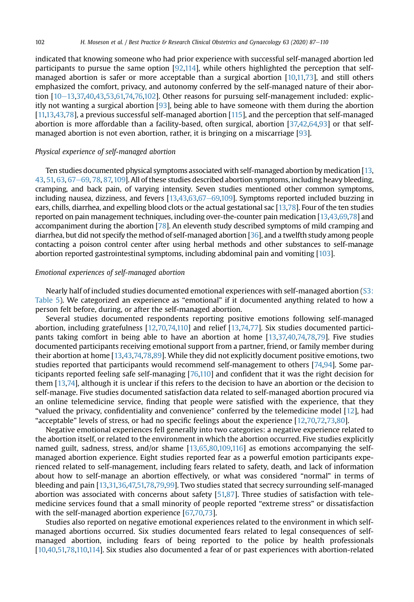indicated that knowing someone who had prior experience with successful self-managed abortion led participants to pursue the same option [[92](#page-22-4)[,114](#page-23-4)], while others highlighted the perception that selfmanaged abortion is safer or more acceptable than a surgical abortion [\[10](#page-20-1),[11,](#page-20-21)[73\]](#page-22-33), and still others emphasized the comfort, privacy, and autonomy conferred by the self-managed nature of their abortion  $[10-13,37,40,43,53,61,74,76,102]$  $[10-13,37,40,43,53,61,74,76,102]$  $[10-13,37,40,43,53,61,74,76,102]$  $[10-13,37,40,43,53,61,74,76,102]$  $[10-13,37,40,43,53,61,74,76,102]$  $[10-13,37,40,43,53,61,74,76,102]$  $[10-13,37,40,43,53,61,74,76,102]$  $[10-13,37,40,43,53,61,74,76,102]$  $[10-13,37,40,43,53,61,74,76,102]$  $[10-13,37,40,43,53,61,74,76,102]$  $[10-13,37,40,43,53,61,74,76,102]$  $[10-13,37,40,43,53,61,74,76,102]$  $[10-13,37,40,43,53,61,74,76,102]$  $[10-13,37,40,43,53,61,74,76,102]$ . Other reasons for pursuing self-management included: explicitly not wanting a surgical abortion [[93](#page-22-15)], being able to have someone with them during the abortion [[11,](#page-20-21)[13](#page-20-30),[43](#page-21-3)[,78\]](#page-22-20), a previous successful self-managed abortion [\[115](#page-23-5)], and the perception that self-managed abortion is more affordable than a facility-based, often surgical, abortion [[37,](#page-20-25)[42](#page-21-2)[,64,](#page-21-24)[93](#page-22-15)] or that selfmanaged abortion is not even abortion, rather, it is bringing on a miscarriage [[93](#page-22-15)].

# Physical experience of self-managed abortion

Ten studies documented physical symptoms associated with self-managed abortion by medication [[13](#page-20-30),  $43, 51, 63, 67-69, 78, 87, 109$  $43, 51, 63, 67-69, 78, 87, 109$  $43, 51, 63, 67-69, 78, 87, 109$  $43, 51, 63, 67-69, 78, 87, 109$  $43, 51, 63, 67-69, 78, 87, 109$  $43, 51, 63, 67-69, 78, 87, 109$  $43, 51, 63, 67-69, 78, 87, 109$  $43, 51, 63, 67-69, 78, 87, 109$  $43, 51, 63, 67-69, 78, 87, 109$  $43, 51, 63, 67-69, 78, 87, 109$  $43, 51, 63, 67-69, 78, 87, 109$  $43, 51, 63, 67-69, 78, 87, 109$  $43, 51, 63, 67-69, 78, 87, 109$  $43, 51, 63, 67-69, 78, 87, 109$ . All of these studies described abortion symptoms, including heavy bleeding, cramping, and back pain, of varying intensity. Seven studies mentioned other common symptoms, including nausea, dizziness, and fevers  $[13,43,63,67-69,109]$  $[13,43,63,67-69,109]$  $[13,43,63,67-69,109]$  $[13,43,63,67-69,109]$  $[13,43,63,67-69,109]$  $[13,43,63,67-69,109]$  $[13,43,63,67-69,109]$  $[13,43,63,67-69,109]$ . Symptoms reported included buzzing in ears, chills, diarrhea, and expelling blood clots or the actual gestational sac [[13](#page-20-30)[,78\]](#page-22-20). Four of the ten studies reported on pain management techniques, including over-the-counter pain medication [[13,](#page-20-30)[43](#page-21-3)[,69,](#page-21-20)[78\]](#page-22-20) and accompaniment during the abortion [[78](#page-22-20)]. An eleventh study described symptoms of mild cramping and diarrhea, but did not specify the method of self-managed abortion [\[36](#page-20-22)], and a twelfth study among people contacting a poison control center after using herbal methods and other substances to self-manage abortion reported gastrointestinal symptoms, including abdominal pain and vomiting [\[103\]](#page-22-9).

# Emotional experiences of self-managed abortion

Nearly half of included studies documented emotional experiences with self-managed abortion (S3: Table 5). We categorized an experience as "emotional" if it documented anything related to how a person felt before, during, or after the self-managed abortion.

Several studies documented respondents reporting positive emotions following self-managed abortion, including gratefulness [\[12](#page-20-26)[,70,](#page-21-21)[74](#page-22-1)[,110\]](#page-23-8) and relief [\[13](#page-20-30),[74,](#page-22-1)[77](#page-22-14)]. Six studies documented participants taking comfort in being able to have an abortion at home [\[13](#page-20-30)[,37,](#page-20-25)[40](#page-20-23)[,74](#page-22-1),[78](#page-22-20)[,79\]](#page-22-29). Five studies documented participants receiving emotional support from a partner, friend, or family member during their abortion at home [[13,](#page-20-30)[43](#page-21-3)[,74](#page-22-1),[78](#page-22-20)[,89\]](#page-22-10). While they did not explicitly document positive emotions, two studies reported that participants would recommend self-management to others [\[74](#page-22-1)[,94\]](#page-22-16). Some participants reported feeling safe self-managing [\[76](#page-22-3)[,110](#page-23-8)] and confident that it was the right decision for them [\[13,](#page-20-30)[74\]](#page-22-1), although it is unclear if this refers to the decision to have an abortion or the decision to self-manage. Five studies documented satisfaction data related to self-managed abortion procured via an online telemedicine service, finding that people were satisfied with the experience, that they "valued the privacy, confidentiality and convenience" conferred by the telemedicine model [[12\]](#page-20-26), had "acceptable" levels of stress, or had no specific feelings about the experience [[12,](#page-20-26)[70](#page-21-21)[,72](#page-21-23)[,73,](#page-22-33)[80](#page-22-32)].

Negative emotional experiences fell generally into two categories: a negative experience related to the abortion itself, or related to the environment in which the abortion occurred. Five studies explicitly named guilt, sadness, stress, and/or shame [\[13](#page-20-30)[,65](#page-21-27)[,80,](#page-22-32)[109,](#page-23-6)[116](#page-23-2)] as emotions accompanying the selfmanaged abortion experience. Eight studies reported fear as a powerful emotion participants experienced related to self-management, including fears related to safety, death, and lack of information about how to self-manage an abortion effectively, or what was considered "normal" in terms of bleeding and pain [[13,](#page-20-30)[31,](#page-20-13)[36,](#page-20-22)[47,](#page-21-17)[51,](#page-21-6)[78](#page-22-20)[,79,](#page-22-29)[99](#page-22-11)]. Two studies stated that secrecy surrounding self-managed abortion was associated with concerns about safety [[51,](#page-21-6)[87](#page-22-18)]. Three studies of satisfaction with telemedicine services found that a small minority of people reported "extreme stress" or dissatisfaction with the self-managed abortion experience [\[67,](#page-21-18)[70](#page-21-21)[,73\]](#page-22-33).

Studies also reported on negative emotional experiences related to the environment in which selfmanaged abortions occurred. Six studies documented fears related to legal consequences of selfmanaged abortion, including fears of being reported to the police by health professionals [[10,](#page-20-1)[40](#page-20-23)[,51,](#page-21-6)[78,](#page-22-20)[110,](#page-23-8)[114\]](#page-23-4). Six studies also documented a fear of or past experiences with abortion-related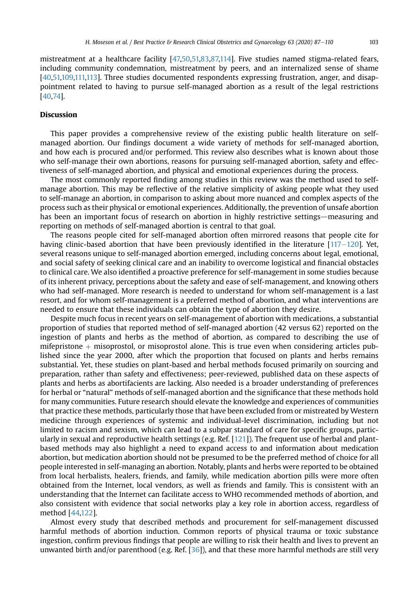mistreatment at a healthcare facility [\[47,](#page-21-17)[50,](#page-21-16)[51,](#page-21-6)[83](#page-22-23)[,87,](#page-22-18)[114](#page-23-4)]. Five studies named stigma-related fears, including community condemnation, mistreatment by peers, and an internalized sense of shame [\[40,](#page-20-23)[51,](#page-21-6)[109,](#page-23-6)[111,](#page-23-1)[113](#page-23-9)]. Three studies documented respondents expressing frustration, anger, and disappointment related to having to pursue self-managed abortion as a result of the legal restrictions [\[40,](#page-20-23)[74\]](#page-22-1).

# Discussion

This paper provides a comprehensive review of the existing public health literature on selfmanaged abortion. Our findings document a wide variety of methods for self-managed abortion, and how each is procured and/or performed. This review also describes what is known about those who self-manage their own abortions, reasons for pursuing self-managed abortion, safety and effectiveness of self-managed abortion, and physical and emotional experiences during the process.

The most commonly reported finding among studies in this review was the method used to selfmanage abortion. This may be reflective of the relative simplicity of asking people what they used to self-manage an abortion, in comparison to asking about more nuanced and complex aspects of the process such as their physical or emotional experiences. Additionally, the prevention of unsafe abortion has been an important focus of research on abortion in highly restrictive settings—measuring and reporting on methods of self-managed abortion is central to that goal.

The reasons people cited for self-managed abortion often mirrored reasons that people cite for having clinic-based abortion that have been previously identified in the literature  $[117-120]$  $[117-120]$  $[117-120]$ . Yet, several reasons unique to self-managed abortion emerged, including concerns about legal, emotional, and social safety of seeking clinical care and an inability to overcome logistical and financial obstacles to clinical care. We also identified a proactive preference for self-management in some studies because of its inherent privacy, perceptions about the safety and ease of self-management, and knowing others who had self-managed. More research is needed to understand for whom self-management is a last resort, and for whom self-management is a preferred method of abortion, and what interventions are needed to ensure that these individuals can obtain the type of abortion they desire.

Despite much focus in recent years on self-management of abortion with medications, a substantial proportion of studies that reported method of self-managed abortion (42 versus 62) reported on the ingestion of plants and herbs as the method of abortion, as compared to describing the use of mifepristone  $+$  misoprostol, or misoprostol alone. This is true even when considering articles published since the year 2000, after which the proportion that focused on plants and herbs remains substantial. Yet, these studies on plant-based and herbal methods focused primarily on sourcing and preparation, rather than safety and effectiveness; peer-reviewed, published data on these aspects of plants and herbs as abortifacients are lacking. Also needed is a broader understanding of preferences for herbal or "natural" methods of self-managed abortion and the significance that these methods hold for many communities. Future research should elevate the knowledge and experiences of communities that practice these methods, particularly those that have been excluded from or mistreated by Western medicine through experiences of systemic and individual-level discrimination, including but not limited to racism and sexism, which can lead to a subpar standard of care for specific groups, particularly in sexual and reproductive health settings (e.g. Ref.  $[121]$  $[121]$  $[121]$ ). The frequent use of herbal and plantbased methods may also highlight a need to expand access to and information about medication abortion, but medication abortion should not be presumed to be the preferred method of choice for all people interested in self-managing an abortion. Notably, plants and herbs were reported to be obtained from local herbalists, healers, friends, and family, while medication abortion pills were more often obtained from the Internet, local vendors, as well as friends and family. This is consistent with an understanding that the Internet can facilitate access to WHO recommended methods of abortion, and also consistent with evidence that social networks play a key role in abortion access, regardless of method [\[44,](#page-21-9)[122](#page-23-12)].

Almost every study that described methods and procurement for self-management discussed harmful methods of abortion induction. Common reports of physical trauma or toxic substance ingestion, confirm previous findings that people are willing to risk their health and lives to prevent an unwanted birth and/or parenthood (e.g. Ref. [\[36\]](#page-20-22)), and that these more harmful methods are still very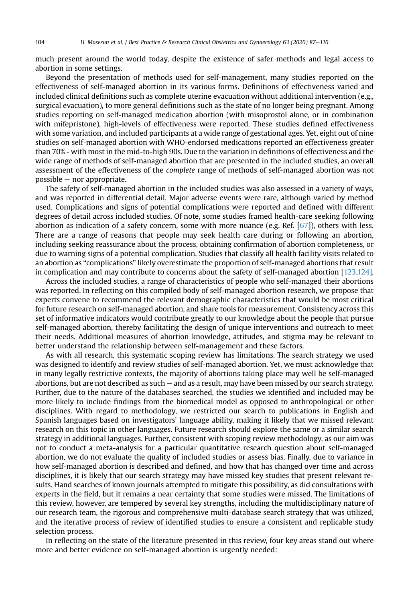much present around the world today, despite the existence of safer methods and legal access to abortion in some settings.

Beyond the presentation of methods used for self-management, many studies reported on the effectiveness of self-managed abortion in its various forms. Definitions of effectiveness varied and included clinical definitions such as complete uterine evacuation without additional intervention (e.g., surgical evacuation), to more general definitions such as the state of no longer being pregnant. Among studies reporting on self-managed medication abortion (with misoprostol alone, or in combination with mifepristone), high-levels of effectiveness were reported. These studies defined effectiveness with some variation, and included participants at a wide range of gestational ages. Yet, eight out of nine studies on self-managed abortion with WHO-endorsed medications reported an effectiveness greater than 70% - with most in the mid-to-high 90s. Due to the variation in definitions of effectiveness and the wide range of methods of self-managed abortion that are presented in the included studies, an overall assessment of the effectiveness of the complete range of methods of self-managed abortion was not  $possible$  – nor appropriate.

The safety of self-managed abortion in the included studies was also assessed in a variety of ways, and was reported in differential detail. Major adverse events were rare, although varied by method used. Complications and signs of potential complications were reported and defined with different degrees of detail across included studies. Of note, some studies framed health-care seeking following abortion as indication of a safety concern, some with more nuance (e.g. Ref. [\[67](#page-21-18)]), others with less. There are a range of reasons that people may seek health care during or following an abortion, including seeking reassurance about the process, obtaining confirmation of abortion completeness, or due to warning signs of a potential complication. Studies that classify all health facility visits related to an abortion as "complications" likely overestimate the proportion of self-managed abortions that result in complication and may contribute to concerns about the safety of self-managed abortion [[123,](#page-23-13)[124\]](#page-23-14).

Across the included studies, a range of characteristics of people who self-managed their abortions was reported. In reflecting on this compiled body of self-managed abortion research, we propose that experts convene to recommend the relevant demographic characteristics that would be most critical for future research on self-managed abortion, and share tools for measurement. Consistency across this set of informative indicators would contribute greatly to our knowledge about the people that pursue self-managed abortion, thereby facilitating the design of unique interventions and outreach to meet their needs. Additional measures of abortion knowledge, attitudes, and stigma may be relevant to better understand the relationship between self-management and these factors.

As with all research, this systematic scoping review has limitations. The search strategy we used was designed to identify and review studies of self-managed abortion. Yet, we must acknowledge that in many legally restrictive contexts, the majority of abortions taking place may well be self-managed abortions, but are not described as such  $-$  and as a result, may have been missed by our search strategy. Further, due to the nature of the databases searched, the studies we identified and included may be more likely to include findings from the biomedical model as opposed to anthropological or other disciplines. With regard to methodology, we restricted our search to publications in English and Spanish languages based on investigators' language ability, making it likely that we missed relevant research on this topic in other languages. Future research should explore the same or a similar search strategy in additional languages. Further, consistent with scoping review methodology, as our aim was not to conduct a meta-analysis for a particular quantitative research question about self-managed abortion, we do not evaluate the quality of included studies or assess bias. Finally, due to variance in how self-managed abortion is described and defined, and how that has changed over time and across disciplines, it is likely that our search strategy may have missed key studies that present relevant results. Hand searches of known journals attempted to mitigate this possibility, as did consultations with experts in the field, but it remains a near certainty that some studies were missed. The limitations of this review, however, are tempered by several key strengths, including the multidisciplinary nature of our research team, the rigorous and comprehensive multi-database search strategy that was utilized, and the iterative process of review of identified studies to ensure a consistent and replicable study selection process.

In reflecting on the state of the literature presented in this review, four key areas stand out where more and better evidence on self-managed abortion is urgently needed: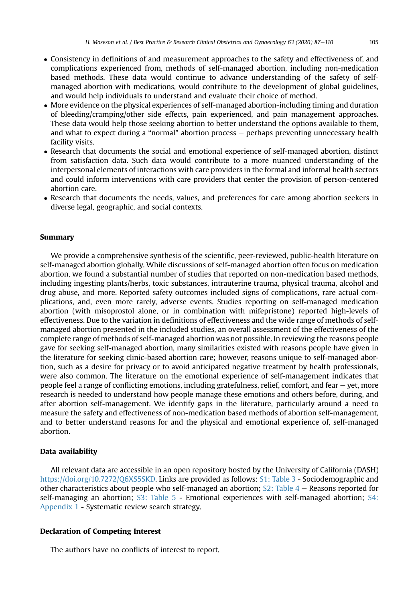- Consistency in definitions of and measurement approaches to the safety and effectiveness of, and complications experienced from, methods of self-managed abortion, including non-medication based methods. These data would continue to advance understanding of the safety of selfmanaged abortion with medications, would contribute to the development of global guidelines, and would help individuals to understand and evaluate their choice of method.
- More evidence on the physical experiences of self-managed abortion-including timing and duration of bleeding/cramping/other side effects, pain experienced, and pain management approaches. These data would help those seeking abortion to better understand the options available to them, and what to expect during a "normal" abortion process - perhaps preventing unnecessary health facility visits.
- Research that documents the social and emotional experience of self-managed abortion, distinct from satisfaction data. Such data would contribute to a more nuanced understanding of the interpersonal elements of interactions with care providers in the formal and informal health sectors and could inform interventions with care providers that center the provision of person-centered abortion care.
- Research that documents the needs, values, and preferences for care among abortion seekers in diverse legal, geographic, and social contexts.

# Summary

We provide a comprehensive synthesis of the scientific, peer-reviewed, public-health literature on self-managed abortion globally. While discussions of self-managed abortion often focus on medication abortion, we found a substantial number of studies that reported on non-medication based methods, including ingesting plants/herbs, toxic substances, intrauterine trauma, physical trauma, alcohol and drug abuse, and more. Reported safety outcomes included signs of complications, rare actual complications, and, even more rarely, adverse events. Studies reporting on self-managed medication abortion (with misoprostol alone, or in combination with mifepristone) reported high-levels of effectiveness. Due to the variation in definitions of effectiveness and the wide range of methods of selfmanaged abortion presented in the included studies, an overall assessment of the effectiveness of the complete range of methods of self-managed abortion was not possible. In reviewing the reasons people gave for seeking self-managed abortion, many similarities existed with reasons people have given in the literature for seeking clinic-based abortion care; however, reasons unique to self-managed abortion, such as a desire for privacy or to avoid anticipated negative treatment by health professionals, were also common. The literature on the emotional experience of self-management indicates that people feel a range of conflicting emotions, including gratefulness, relief, comfort, and fear  $-$  yet, more research is needed to understand how people manage these emotions and others before, during, and after abortion self-management. We identify gaps in the literature, particularly around a need to measure the safety and effectiveness of non-medication based methods of abortion self-management, and to better understand reasons for and the physical and emotional experience of, self-managed abortion.

# Data availability

All relevant data are accessible in an open repository hosted by the University of California (DASH) [https://doi.org/10.7272/Q6XS5SKD.](https://doi.org/10.7272/Q6XS5SKD) Links are provided as follows: S1: Table 3 - Sociodemographic and other characteristics about people who self-managed an abortion;  $S2$ : Table  $4 -$  Reasons reported for self-managing an abortion; S3: Table 5 - Emotional experiences with self-managed abortion; S4: Appendix 1 - Systematic review search strategy.

# Declaration of Competing Interest

The authors have no conflicts of interest to report.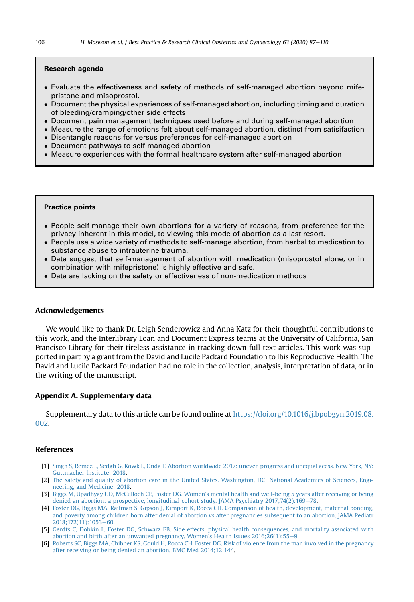#### Research agenda

- Evaluate the effectiveness and safety of methods of self-managed abortion beyond mifepristone and misoprostol.
- Document the physical experiences of self-managed abortion, including timing and duration of bleeding/cramping/other side effects
- Document pain management techniques used before and during self-managed abortion
- Measure the range of emotions felt about self-managed abortion, distinct from satisifaction
- Disentangle reasons for versus preferences for self-managed abortion
- Document pathways to self-managed abortion
- Measure experiences with the formal healthcare system after self-managed abortion

#### Practice points

- People self-manage their own abortions for a variety of reasons, from preference for the privacy inherent in this model, to viewing this mode of abortion as a last resort.
- People use a wide variety of methods to self-manage abortion, from herbal to medication to substance abuse to intrauterine trauma.
- Data suggest that self-management of abortion with medication (misoprostol alone, or in combination with mifepristone) is highly effective and safe.
- Data are lacking on the safety or effectiveness of non-medication methods

#### Acknowledgements

We would like to thank Dr. Leigh Senderowicz and Anna Katz for their thoughtful contributions to this work, and the Interlibrary Loan and Document Express teams at the University of California, San Francisco Library for their tireless assistance in tracking down full text articles. This work was supported in part by a grant from the David and Lucile Packard Foundation to Ibis Reproductive Health. The David and Lucile Packard Foundation had no role in the collection, analysis, interpretation of data, or in the writing of the manuscript.

# Appendix A. Supplementary data

Supplementary data to this article can be found online at [https://doi.org/10.1016/j.bpobgyn.2019.08.](https://doi.org/10.1016/j.bpobgyn.2019.08.002) [002](https://doi.org/10.1016/j.bpobgyn.2019.08.002).

#### <span id="page-19-0"></span>References

- <span id="page-19-1"></span>[1] [Singh S, Remez L, Sedgh G, Kowk L, Onda T. Abortion worldwide 2017: uneven progress and unequal acess. New York, NY:](http://refhub.elsevier.com/S1521-6934(19)30119-1/sref1) [Guttmacher Institute; 2018](http://refhub.elsevier.com/S1521-6934(19)30119-1/sref1).
- <span id="page-19-2"></span>[2] The safety and quality of abortion care in the United States. Washington, DC: National Academies of Sciences. Engi[neering, and Medicine; 2018.](http://refhub.elsevier.com/S1521-6934(19)30119-1/sref2)
- [3] [Biggs M, Upadhyay UD, McCulloch CE, Foster DG. Women's mental health and well-being 5 years after receiving or being](http://refhub.elsevier.com/S1521-6934(19)30119-1/sref3) [denied an abortion: a prospective, longitudinal cohort study. JAMA Psychiatry 2017;74\(2\):169](http://refhub.elsevier.com/S1521-6934(19)30119-1/sref3)-[78.](http://refhub.elsevier.com/S1521-6934(19)30119-1/sref3)
- [4] [Foster DG, Biggs MA, Raifman S, Gipson J, Kimport K, Rocca CH. Comparison of health, development, maternal bonding,](http://refhub.elsevier.com/S1521-6934(19)30119-1/sref4) [and poverty among children born after denial of abortion vs after pregnancies subsequent to an abortion. JAMA Pediatr](http://refhub.elsevier.com/S1521-6934(19)30119-1/sref4) [2018;172\(11\):1053](http://refhub.elsevier.com/S1521-6934(19)30119-1/sref4)-[60](http://refhub.elsevier.com/S1521-6934(19)30119-1/sref4).
- [5] [Gerdts C, Dobkin L, Foster DG, Schwarz EB. Side effects, physical health consequences, and mortality associated with](http://refhub.elsevier.com/S1521-6934(19)30119-1/sref5) abortion and birth after an unwanted pregnancy. Women's Health Issues  $2016;26(1):55-9$  $2016;26(1):55-9$ .
- [6] [Roberts SC, Biggs MA, Chibber KS, Gould H, Rocca CH, Foster DG. Risk of violence from the man involved in the pregnancy](http://refhub.elsevier.com/S1521-6934(19)30119-1/sref6) [after receiving or being denied an abortion. BMC Med 2014;12:144.](http://refhub.elsevier.com/S1521-6934(19)30119-1/sref6)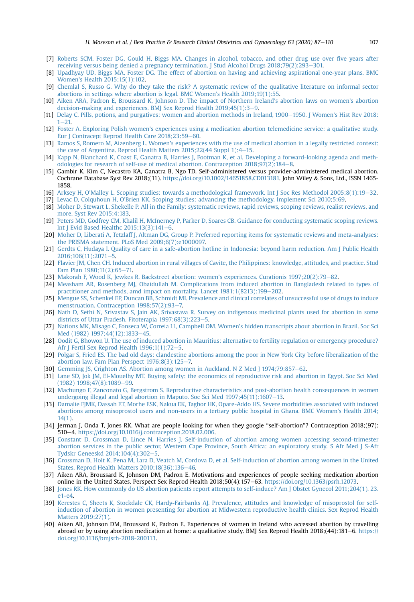- [7] [Roberts SCM, Foster DG, Gould H, Biggs MA. Changes in alcohol, tobacco, and other drug use over](http://refhub.elsevier.com/S1521-6934(19)30119-1/sref7) five years after [receiving versus being denied a pregnancy termination. J Stud Alcohol Drugs 2018;79\(2\):293](http://refhub.elsevier.com/S1521-6934(19)30119-1/sref7)–[301.](http://refhub.elsevier.com/S1521-6934(19)30119-1/sref7)
- [8] [Upadhyay UD, Biggs MA, Foster DG. The effect of abortion on having and achieving aspirational one-year plans. BMC](http://refhub.elsevier.com/S1521-6934(19)30119-1/sref8) [Women's Health 2015;15\(1\):102.](http://refhub.elsevier.com/S1521-6934(19)30119-1/sref8)
- <span id="page-20-0"></span>[9] [Chemlal S, Russo G. Why do they take the risk? A systematic review of the qualitative literature on informal sector](http://refhub.elsevier.com/S1521-6934(19)30119-1/sref9) [abortions in settings where abortion is legal. BMC Women's Health 2019;19\(1\):55.](http://refhub.elsevier.com/S1521-6934(19)30119-1/sref9)
- <span id="page-20-1"></span>[10] [Aiken ARA, Padron E, Broussard K, Johnson D. The impact of Northern Ireland's abortion laws on women's abortion](http://refhub.elsevier.com/S1521-6934(19)30119-1/sref10) [decision-making and experiences. BMJ Sex Reprod Health 2019;45\(1\):3](http://refhub.elsevier.com/S1521-6934(19)30119-1/sref10)-[9](http://refhub.elsevier.com/S1521-6934(19)30119-1/sref10).
- <span id="page-20-21"></span>[11] [Delay C. Pills, potions, and purgatives: women and abortion methods in Ireland, 1900](http://refhub.elsevier.com/S1521-6934(19)30119-1/sref11)–[1950. J Women's Hist Rev 2018:](http://refhub.elsevier.com/S1521-6934(19)30119-1/sref11)  $1 - 21$  $1 - 21$
- <span id="page-20-26"></span>[12] [Foster A. Exploring Polish women's experiences using a medication abortion telemedicine service: a qualitative study.](http://refhub.elsevier.com/S1521-6934(19)30119-1/sref12) [Eur J Contracept Reprod Health Care 2018;23:59](http://refhub.elsevier.com/S1521-6934(19)30119-1/sref12)-[60](http://refhub.elsevier.com/S1521-6934(19)30119-1/sref12).
- <span id="page-20-30"></span>[13] [Ramos S, Romero M, Aizenberg L. Women's experiences with the use of medical abortion in a legally restricted context:](http://refhub.elsevier.com/S1521-6934(19)30119-1/sref13) the case of Argentina. Reprod Health Matters  $2015;22(44$  $2015;22(44$  $2015;22(44$  Suppl 1):4-15.
- <span id="page-20-2"></span>[14] [Kapp N, Blanchard K, Coast E, Ganatra B, Harries J, Footman K, et al. Developing a forward-looking agenda and meth](http://refhub.elsevier.com/S1521-6934(19)30119-1/sref14)odologies for research of self-use of medical abortion. Contraception  $2018;97(2);184-8$  $2018;97(2);184-8$  $2018;97(2);184-8$ .
- <span id="page-20-3"></span>[15] Gambir K, Kim C, Necastro KA, Ganatra B, Ngo TD. Self-administered versus provider-administered medical abortion. Cochrane Database Syst Rev 2018;(11). [https://doi.org/10.1002/14651858.CD013181.](https://doi.org/10.1002/14651858.CD013181) John Wiley & Sons, Ltd., ISSN 1465- 1858.
- <span id="page-20-4"></span>[16] [Arksey H, O'Malley L. Scoping studies: towards a methodological framework. Int J Soc Res Methodol 2005;8\(1\):19](http://refhub.elsevier.com/S1521-6934(19)30119-1/sref16)-[32.](http://refhub.elsevier.com/S1521-6934(19)30119-1/sref16)
- <span id="page-20-5"></span>[17] [Levac D, Colquhoun H, O'Brien KK. Scoping studies: advancing the methodology. Implement Sci 2010;5:69.](http://refhub.elsevier.com/S1521-6934(19)30119-1/sref17)
- <span id="page-20-7"></span>[18] [Moher D, Stewart L, Shekelle P. All in the Family: systematic reviews, rapid reviews, scoping reviews, realist reviews, and](http://refhub.elsevier.com/S1521-6934(19)30119-1/sref18) [more. Syst Rev 2015;4:183.](http://refhub.elsevier.com/S1521-6934(19)30119-1/sref18)
- [19] [Peters MD, Godfrey CM, Khalil H, McInerney P, Parker D, Soares CB. Guidance for conducting systematic scoping reviews.](http://refhub.elsevier.com/S1521-6934(19)30119-1/sref19) Int J Evid Based Healthc  $2015;13(3):141-6$  $2015;13(3):141-6$ .
- <span id="page-20-6"></span>[20] [Moher D, Liberati A, Tetzlaff J, Altman DG, Group P. Preferred reporting items for systematic reviews and meta-analyses:](http://refhub.elsevier.com/S1521-6934(19)30119-1/sref20) [the PRISMA statement. PLoS Med 2009;6\(7\):e1000097.](http://refhub.elsevier.com/S1521-6934(19)30119-1/sref20)
- <span id="page-20-8"></span>[21] [Gerdts C, Hudaya I. Quality of care in a safe-abortion hotline in Indonesia: beyond harm reduction. Am J Public Health](http://refhub.elsevier.com/S1521-6934(19)30119-1/sref21) [2016;106\(11\):2071](http://refhub.elsevier.com/S1521-6934(19)30119-1/sref21)-[5](http://refhub.elsevier.com/S1521-6934(19)30119-1/sref21).
- <span id="page-20-9"></span>[22] [Flavier JM, Chen CH. Induced abortion in rural villages of Cavite, the Philippines: knowledge, attitudes, and practice. Stud](http://refhub.elsevier.com/S1521-6934(19)30119-1/sref22) [Fam Plan 1980;11\(2\):65](http://refhub.elsevier.com/S1521-6934(19)30119-1/sref22)-[71.](http://refhub.elsevier.com/S1521-6934(19)30119-1/sref22)
- <span id="page-20-29"></span>[23] [Makorah F, Wood K, Jewkes R. Backstreet abortion: women's experiences. Curationis 1997;20\(2\):79](http://refhub.elsevier.com/S1521-6934(19)30119-1/sref23)-[82.](http://refhub.elsevier.com/S1521-6934(19)30119-1/sref23)
- <span id="page-20-10"></span>[24] [Measham AR, Rosenberg MJ, Obaidullah M. Complications from induced abortion in Bangladesh related to types of](http://refhub.elsevier.com/S1521-6934(19)30119-1/sref24) [practitioner and methods, amd impact on mortality. Lancet 1981;1\(8213\):199](http://refhub.elsevier.com/S1521-6934(19)30119-1/sref24)-[202](http://refhub.elsevier.com/S1521-6934(19)30119-1/sref24).
- <span id="page-20-17"></span>[25] [Mengue SS, Schenkel EP, Duncan BB, Schmidt MI. Prevalence and clinical correlates of unsuccessful use of drugs to induce](http://refhub.elsevier.com/S1521-6934(19)30119-1/sref25) [menstruation. Contraception 1998;57\(2\):93](http://refhub.elsevier.com/S1521-6934(19)30119-1/sref25)-[7.](http://refhub.elsevier.com/S1521-6934(19)30119-1/sref25)
- <span id="page-20-24"></span>[26] [Nath D, Sethi N, Srivastav S, Jain AK, Srivastava R. Survey on indigenous medicinal plants used for abortion in some](http://refhub.elsevier.com/S1521-6934(19)30119-1/sref26) districts of Uttar Pradesh. Fitoterapia  $1997:68(3):223-5$  $1997:68(3):223-5$ .
- <span id="page-20-16"></span>[27] [Nations MK, Misago C, Fonseca W, Correia LL, Campbell OM. Women's hidden transcripts about abortion in Brazil. Soc Sci](http://refhub.elsevier.com/S1521-6934(19)30119-1/sref27) [Med \(1982\) 1997;44\(12\):1833](http://refhub.elsevier.com/S1521-6934(19)30119-1/sref27)-[45.](http://refhub.elsevier.com/S1521-6934(19)30119-1/sref27)
- <span id="page-20-11"></span>[28] [Oodit G, Bhowon U. The use of induced abortion in Mauritius: alternative to fertility regulation or emergency procedure?](http://refhub.elsevier.com/S1521-6934(19)30119-1/sref28) Afr J Fertil Sex Reprod Health  $1996;1(1):72-5$  $1996;1(1):72-5$ .
- <span id="page-20-14"></span>[29] [Polgar S, Fried ES. The bad old days: clandestine abortions among the poor in New York City before liberalization of the](http://refhub.elsevier.com/S1521-6934(19)30119-1/sref29) abortion law. Fam Plan Perspect  $1976;8(3):125-7$ .
- <span id="page-20-12"></span>[30] [Gemming JS, Crighton AS. Abortion among women in Auckland. N Z Med J 1974;79:857](http://refhub.elsevier.com/S1521-6934(19)30119-1/sref30)–[62.](http://refhub.elsevier.com/S1521-6934(19)30119-1/sref30)
- <span id="page-20-13"></span>[31] [Lane SD, Jok JM, El-Mouelhy MT. Buying safety: the economics of reproductive risk and abortion in Egypt. Soc Sci Med](http://refhub.elsevier.com/S1521-6934(19)30119-1/sref31)  $(1982) 1998;47(8):1089-99.$  $(1982) 1998;47(8):1089-99.$  $(1982) 1998;47(8):1089-99.$  $(1982) 1998;47(8):1089-99.$
- <span id="page-20-15"></span>[32] [Machungo F, Zanconato G, Bergstrom S. Reproductive characteristics and post-abortion health consequences in women](http://refhub.elsevier.com/S1521-6934(19)30119-1/sref32) undergoing illegal and legal abortion in Maputo. Soc Sci Med  $1997;45(11);1607-13$ .
- <span id="page-20-18"></span>[33] [Damalie FJMK, Dassah ET, Morhe ESK, Nakua EK, Tagbor HK, Opare-Addo HS. Severe morbidities associated with induced](http://refhub.elsevier.com/S1521-6934(19)30119-1/sref33) [abortions among misoprostol users and non-users in a tertiary public hospital in Ghana. BMC Women's Health 2014;](http://refhub.elsevier.com/S1521-6934(19)30119-1/sref33) [14\(1\).](http://refhub.elsevier.com/S1521-6934(19)30119-1/sref33)
- <span id="page-20-19"></span>[34] Jerman J, Onda T, Jones RK. What are people looking for when they google "self-abortion"? Contraception 2018;(97): 510-4. <https://doi.org/10.1016/j.contraception.2018.02.006>.
- <span id="page-20-20"></span>[35] [Constant D, Grossman D, Lince N, Harries J. Self-induction of abortion among women accessing second-trimester](http://refhub.elsevier.com/S1521-6934(19)30119-1/sref35) [abortion services in the public sector, Western Cape Province, South Africa: an exploratory study. S Afr Med J S-Afr](http://refhub.elsevier.com/S1521-6934(19)30119-1/sref35) [Tydskr Geneeskd 2014;104\(4\):302](http://refhub.elsevier.com/S1521-6934(19)30119-1/sref35)-[5](http://refhub.elsevier.com/S1521-6934(19)30119-1/sref35).
- <span id="page-20-22"></span>[36] [Grossman D, Holt K, Pena M, Lara D, Veatch M, Cordova D, et al. Self-induction of abortion among women in the United](http://refhub.elsevier.com/S1521-6934(19)30119-1/sref36) States. Reprod Health Matters  $2010;18(36):136-46$ .
- <span id="page-20-25"></span>[37] Aiken ARA, Broussard K, Johnson DM, Padron E. Motivations and experiences of people seeking medication abortion online in the United States. Perspect Sex Reprod Health 2018:50(4):157–63. <https://doi.org/10.1363/psrh.12073>.
- <span id="page-20-27"></span>[38] [Jones RK. How commonly do US abortion patients report attempts to self-induce? Am J Obstet Gynecol 2011;204\(1\). 23.](http://refhub.elsevier.com/S1521-6934(19)30119-1/sref38)  $e1-e4$
- <span id="page-20-28"></span>[39] [Kerestes C, Sheets K, Stockdale CK, Hardy-Fairbanks AJ. Prevalence, attitudes and knowledge of misoprostol for self](http://refhub.elsevier.com/S1521-6934(19)30119-1/sref39)[induction of abortion in women presenting for abortion at Midwestern reproductive health clinics. Sex Reprod Health](http://refhub.elsevier.com/S1521-6934(19)30119-1/sref39) [Matters 2019;27\(1\).](http://refhub.elsevier.com/S1521-6934(19)30119-1/sref39)
- <span id="page-20-23"></span>[40] Aiken AR, Johnson DM, Broussard K, Padron E. Experiences of women in Ireland who accessed abortion by travelling abroad or by using abortion medication at home: a qualitative study. BMJ Sex Reprod Health 2018;(44):181–6. [https://](https://doi.org/10.1136/bmjsrh-2018-200113) [doi.org/10.1136/bmjsrh-2018-200113](https://doi.org/10.1136/bmjsrh-2018-200113).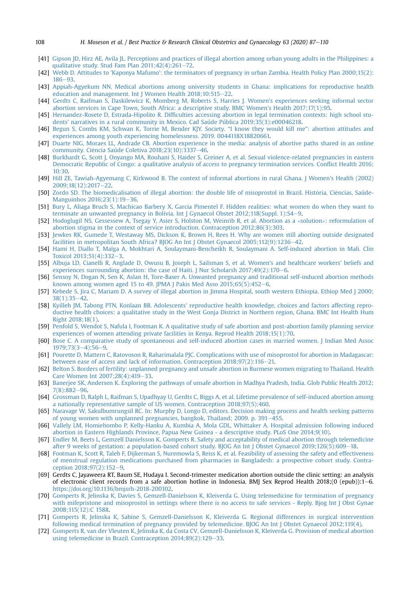- <span id="page-21-1"></span>[41] [Gipson JD, Hirz AE, Avila JL. Perceptions and practices of illegal abortion among urban young adults in the Philippines: a](http://refhub.elsevier.com/S1521-6934(19)30119-1/sref41) qualitative study. Stud Fam Plan  $2011;42(4):261-72$ .
- <span id="page-21-2"></span>[42] [Webb D. Attitudes to 'Kaponya Mafumo': the terminators of pregnancy in urban Zambia. Health Policy Plan 2000;15\(2\):](http://refhub.elsevier.com/S1521-6934(19)30119-1/sref42) [186](http://refhub.elsevier.com/S1521-6934(19)30119-1/sref42)-[93](http://refhub.elsevier.com/S1521-6934(19)30119-1/sref42)
- <span id="page-21-3"></span>[43] [Appiah-Agyekum NN. Medical abortions among university students in Ghana: implications for reproductive health](http://refhub.elsevier.com/S1521-6934(19)30119-1/sref43) [education and management. Int J Women Health 2018;10:515](http://refhub.elsevier.com/S1521-6934(19)30119-1/sref43)-[22](http://refhub.elsevier.com/S1521-6934(19)30119-1/sref43).
- <span id="page-21-9"></span>[44] [Gerdts C, Raifman S, Daskilewicz K, Momberg M, Roberts S, Harries J. Women's experiences seeking informal sector](http://refhub.elsevier.com/S1521-6934(19)30119-1/sref44) [abortion services in Cape Town, South Africa: a descriptive study. BMC Women's Health 2017;17\(1\):95](http://refhub.elsevier.com/S1521-6934(19)30119-1/sref44).
- <span id="page-21-4"></span>[45] Hernandez-Rosete D, Estrada-Hipolito R. Diffi[culties accessing abortion in legal termination contexts: high school stu](http://refhub.elsevier.com/S1521-6934(19)30119-1/sref45)[dents' narratives in a rural community in Mexico. Cad Saúde Pública 2019;35\(3\):e00046218.](http://refhub.elsevier.com/S1521-6934(19)30119-1/sref45)
- <span id="page-21-14"></span>[46] [Begun S, Combs KM, Schwan K, Torrie M, Bender KJY. Society.](http://refhub.elsevier.com/S1521-6934(19)30119-1/sref46) "I know they would kill me": abortion attitudes and [experiences among youth experiencing homelessness. 2019. 0044118X18820661.](http://refhub.elsevier.com/S1521-6934(19)30119-1/sref46)
- <span id="page-21-17"></span>[47] [Duarte NIG, Moraes LL, Andrade CB. Abortion experience in the media: analysis of abortive paths shared in an online](http://refhub.elsevier.com/S1521-6934(19)30119-1/sref47) community. Ciência Saúde Coletiva 2018;23(10):3337-[46](http://refhub.elsevier.com/S1521-6934(19)30119-1/sref47).
- <span id="page-21-5"></span>[48] [Burkhardt G, Scott J, Onyango MA, Rouhani S, Haider S, Greiner A, et al. Sexual violence-related pregnancies in eastern](http://refhub.elsevier.com/S1521-6934(19)30119-1/sref48) [Democratic Republic of Congo: a qualitative analysis of access to pregnancy termination services. Con](http://refhub.elsevier.com/S1521-6934(19)30119-1/sref48)flict Health 2016; [10:30.](http://refhub.elsevier.com/S1521-6934(19)30119-1/sref48)
- <span id="page-21-10"></span>[49] [Hill ZE, Tawiah-Agyemang C, Kirkwood B. The context of informal abortions in rural Ghana. J Women's Health \(2002\)](http://refhub.elsevier.com/S1521-6934(19)30119-1/sref49) [2009;18\(12\):2017](http://refhub.elsevier.com/S1521-6934(19)30119-1/sref49)-[22.](http://refhub.elsevier.com/S1521-6934(19)30119-1/sref49)
- <span id="page-21-16"></span>[50] [Zordo SD. The biomedicalisation of illegal abortion: the double life of misoprostol in Brazil. Hist](http://refhub.elsevier.com/S1521-6934(19)30119-1/sref50)ó[ria, Ci](http://refhub.elsevier.com/S1521-6934(19)30119-1/sref50)ências, Saúde-[Manguinhos 2016;23\(1\):19](http://refhub.elsevier.com/S1521-6934(19)30119-1/sref50)-[36.](http://refhub.elsevier.com/S1521-6934(19)30119-1/sref50)
- <span id="page-21-6"></span>[51] [Bury L, Aliaga Bruch S, Machicao Barbery X, Garcia Pimentel F. Hidden realities: what women do when they want to](http://refhub.elsevier.com/S1521-6934(19)30119-1/sref51) [terminate an unwanted pregnancy in Bolivia. Int J Gynaecol Obstet 2012;118\(Suppl. 1\):S4](http://refhub.elsevier.com/S1521-6934(19)30119-1/sref51)-[9.](http://refhub.elsevier.com/S1521-6934(19)30119-1/sref51)
- <span id="page-21-7"></span>[52] [Hodoglugil NS, Gessessew A, Tsegay Y, Asier S, Holston M, Weinrib R, et al. Abortion as a](http://refhub.elsevier.com/S1521-6934(19)30119-1/sref52) «solution»: reformulation of [abortion stigma in the context of service introduction. Contraception 2012;86\(3\):303.](http://refhub.elsevier.com/S1521-6934(19)30119-1/sref52)
- <span id="page-21-8"></span>[53] [Jewkes RK, Gumede T, Westaway MS, Dickson K, Brown H, Rees H. Why are women still aborting outside designated](http://refhub.elsevier.com/S1521-6934(19)30119-1/sref53) [facilities in metropolitan South Africa? BJOG An Int J Obstet Gynaecol 2005;112\(9\):1236](http://refhub.elsevier.com/S1521-6934(19)30119-1/sref53)-[42](http://refhub.elsevier.com/S1521-6934(19)30119-1/sref53).
- <span id="page-21-11"></span>[54] [Hami H, Diallo T, Maïga A, Mokhtari A, Soulaymani-Bencheikh R, Soulaymani A. Self-induced abortion in Mali. Clin](http://refhub.elsevier.com/S1521-6934(19)30119-1/sref54) [Toxicol 2013;51\(4\):332](http://refhub.elsevier.com/S1521-6934(19)30119-1/sref54)-[3](http://refhub.elsevier.com/S1521-6934(19)30119-1/sref54).
- <span id="page-21-12"></span>[55] [Albuja LD, Cianelli R, Anglade D, Owusu B, Joseph L, Sailsman S, et al. Women's and healthcare workers' beliefs and](http://refhub.elsevier.com/S1521-6934(19)30119-1/sref55) experiences surrounding abortion: the case of Haiti. J Nur Scholarsh  $2017;49(2):170-6$ .
- <span id="page-21-30"></span>[56] [Sensoy N, Dogan N, Sen K, Aslan H, Tore-Baser A. Unwanted pregnancy and traditional self-induced abortion methods](http://refhub.elsevier.com/S1521-6934(19)30119-1/sref56) known among women aged 15 to 49. JPMA J Pakis Med Asso  $2015;65(5):452-6$  $2015;65(5):452-6$  $2015;65(5):452-6$ .
- <span id="page-21-25"></span>[57] [Kebede S, Jira C, Mariam D. A survey of illegal abortion in Jimma Hospital, south western Ethiopia. Ethiop Med J 2000;](http://refhub.elsevier.com/S1521-6934(19)30119-1/sref57)  $38(1):35-42.$  $38(1):35-42.$  $38(1):35-42.$  $38(1):35-42.$
- <span id="page-21-26"></span>[58] [Kyilleh JM, Tabong PTN, Konlaan BB. Adolescents' reproductive health knowledge, choices and factors affecting repro](http://refhub.elsevier.com/S1521-6934(19)30119-1/sref58)[ductive health choices: a qualitative study in the West Gonja District in Northern region, Ghana. BMC Int Health Hum](http://refhub.elsevier.com/S1521-6934(19)30119-1/sref58) [Right 2018;18\(1\)](http://refhub.elsevier.com/S1521-6934(19)30119-1/sref58).
- <span id="page-21-28"></span>[59] [Penfold S, Wendot S, Nafula I, Footman K. A qualitative study of safe abortion and post-abortion family planning service](http://refhub.elsevier.com/S1521-6934(19)30119-1/sref59) [experiences of women attending private facilities in Kenya. Reprod Health 2018;15\(1\):70](http://refhub.elsevier.com/S1521-6934(19)30119-1/sref59).
- <span id="page-21-0"></span>[60] [Bose C. A comparative study of spontaneous and self-induced abortion cases in married women. J Indian Med Assoc](http://refhub.elsevier.com/S1521-6934(19)30119-1/sref60)  $1979.73(3-4):56-9$  $1979.73(3-4):56-9$  $1979.73(3-4):56-9$  $1979.73(3-4):56-9$
- <span id="page-21-29"></span>[61] [Pourette D, Mattern C, Ratovoson R, Raharimalala PJC. Complications with use of misoprostol for abortion in Madagascar:](http://refhub.elsevier.com/S1521-6934(19)30119-1/sref61) between ease of access and lack of information. Contraception  $2018;97(2):116-21$ .
- <span id="page-21-15"></span>[62] [Belton S. Borders of fertility: unplanned pregnancy and unsafe abortion in Burmese women migrating to Thailand. Health](http://refhub.elsevier.com/S1521-6934(19)30119-1/sref62) Care Women Int  $2007;28(4):419-33$  $2007;28(4):419-33$ .
- <span id="page-21-13"></span>[63] [Banerjee SK, Andersen K. Exploring the pathways of unsafe abortion in Madhya Pradesh, India. Glob Public Health 2012;](http://refhub.elsevier.com/S1521-6934(19)30119-1/sref63) [7\(8\):882](http://refhub.elsevier.com/S1521-6934(19)30119-1/sref63)-[96](http://refhub.elsevier.com/S1521-6934(19)30119-1/sref63).
- <span id="page-21-24"></span>[64] [Grossman D, Ralph L, Raifman S, Upadhyay U, Gerdts C, Biggs A, et al. Lifetime prevalence of self-induced abortion among](http://refhub.elsevier.com/S1521-6934(19)30119-1/sref64) [a nationally representative sample of US women. Contraception 2018;97\(5\):460.](http://refhub.elsevier.com/S1521-6934(19)30119-1/sref64)
- <span id="page-21-27"></span>[65] [Naravage W, Sakulbumrungsil RC. In: Murphy D, Longo D, editors. Decision making process and health seeking patterns](http://refhub.elsevier.com/S1521-6934(19)30119-1/sref65) [of young women with unplanned pregnancies, bangkok, Thailand; 2009. p. 391](http://refhub.elsevier.com/S1521-6934(19)30119-1/sref65)-[455.](http://refhub.elsevier.com/S1521-6934(19)30119-1/sref65)
- <span id="page-21-31"></span>[66] [Vallely LM, Homiehombo P, Kelly-Hanku A, Kumbia A, Mola GDL, Whittaker A. Hospital admission following induced](http://refhub.elsevier.com/S1521-6934(19)30119-1/sref66) [abortion in Eastern Highlands Province, Papua New Guinea - a descriptive study. PLoS One 2014;9\(10\).](http://refhub.elsevier.com/S1521-6934(19)30119-1/sref66)
- <span id="page-21-18"></span>[67] [Endler M, Beets L, Gemzell Danielsson K, Gomperts R. Safety and acceptability of medical abortion through telemedicine](http://refhub.elsevier.com/S1521-6934(19)30119-1/sref67) [after 9 weeks of gestation: a population-based cohort study. BJOG An Int J Obstet Gynaecol 2019;126\(5\):609](http://refhub.elsevier.com/S1521-6934(19)30119-1/sref67)-[18](http://refhub.elsevier.com/S1521-6934(19)30119-1/sref67).
- <span id="page-21-19"></span>[68] [Footman K, Scott R, Taleb F, Dijkerman S, Nuremowla S, Reiss K, et al. Feasibility of assessing the safety and effectiveness](http://refhub.elsevier.com/S1521-6934(19)30119-1/sref68) [of menstrual regulation medications purchased from pharmacies in Bangladesh: a prospective cohort study. Contra](http://refhub.elsevier.com/S1521-6934(19)30119-1/sref68)[ception 2018;97\(2\):152](http://refhub.elsevier.com/S1521-6934(19)30119-1/sref68)-[9](http://refhub.elsevier.com/S1521-6934(19)30119-1/sref68).
- <span id="page-21-20"></span>[69] Gerdts C, Jayaweera RT, Baum SE, Hudaya I. Second-trimester medication abortion outside the clinic setting: an analysis of electronic client records from a safe abortion hotline in Indonesia. BMJ Sex Reprod Health 2018;(0 (epub)):1–6. [https://doi.org/10.1136/bmjsrh-2018-200102.](https://doi.org/10.1136/bmjsrh-2018-200102)
- <span id="page-21-21"></span>[70] [Gomperts R, Jelinska K, Davies S, Gemzell-Danielsson K, Kleiverda G. Using telemedicine for termination of pregnancy](http://refhub.elsevier.com/S1521-6934(19)30119-1/sref70) [with mifepristone and misoprostol in settings where there is no access to safe services - Reply. Bjog Int J Obst Gynae](http://refhub.elsevier.com/S1521-6934(19)30119-1/sref70) [2008;115\(12\):C 1588.](http://refhub.elsevier.com/S1521-6934(19)30119-1/sref70)
- <span id="page-21-22"></span>[71] [Gomperts R, Jelinska K, Sabine S, Gemzell-Danielsson K, Kleiverda G. Regional differences in surgical intervention](http://refhub.elsevier.com/S1521-6934(19)30119-1/sref71) [following medical termination of pregnancy provided by telemedicine. BJOG An Int J Obstet Gynaecol 2012;119\(4\).](http://refhub.elsevier.com/S1521-6934(19)30119-1/sref71)
- <span id="page-21-23"></span>[72] [Gomperts R, van der Vleuten K, Jelinska K, da Costa CV, Gemzell-Danielsson K, Kleiverda G. Provision of medical abortion](http://refhub.elsevier.com/S1521-6934(19)30119-1/sref72) [using telemedicine in Brazil. Contraception 2014;89\(2\):129](http://refhub.elsevier.com/S1521-6934(19)30119-1/sref72)-[33](http://refhub.elsevier.com/S1521-6934(19)30119-1/sref72).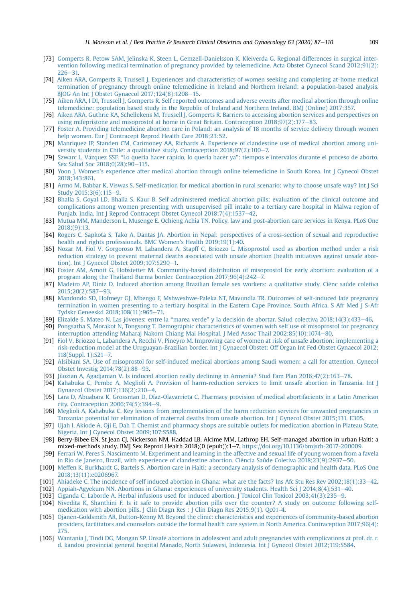- <span id="page-22-33"></span>[73] [Gomperts R, Petow SAM, Jelinska K, Steen L, Gemzell-Danielsson K, Kleiverda G. Regional differences in surgical inter](http://refhub.elsevier.com/S1521-6934(19)30119-1/sref73)[vention following medical termination of pregnancy provided by telemedicine. Acta Obstet Gynecol Scand 2012;91\(2\):](http://refhub.elsevier.com/S1521-6934(19)30119-1/sref73)  $226 - 31$  $226 - 31$
- <span id="page-22-1"></span>[74] [Aiken ARA, Gomperts R, Trussell J. Experiences and characteristics of women seeking and completing at-home medical](http://refhub.elsevier.com/S1521-6934(19)30119-1/sref74) [termination of pregnancy through online telemedicine in Ireland and Northern Ireland: a population-based analysis.](http://refhub.elsevier.com/S1521-6934(19)30119-1/sref74) [BJOG An Int J Obstet Gynaecol 2017;124\(8\):1208](http://refhub.elsevier.com/S1521-6934(19)30119-1/sref74)-[15.](http://refhub.elsevier.com/S1521-6934(19)30119-1/sref74)
- <span id="page-22-2"></span>[75] [Aiken ARA, I DI, Trussell J, Gomperts R. Self reported outcomes and adverse events after medical abortion through online](http://refhub.elsevier.com/S1521-6934(19)30119-1/sref75) [telemedicine: population based study in the Republic of Ireland and Northern Ireland. BMJ \(Online\) 2017;357.](http://refhub.elsevier.com/S1521-6934(19)30119-1/sref75)
- <span id="page-22-3"></span>[76] [Aiken ARA, Guthrie KA, Schellekens M, Trussell J, Gomperts R. Barriers to accessing abortion services and perspectives on](http://refhub.elsevier.com/S1521-6934(19)30119-1/sref76) [using mifepristone and misoprostol at home in Great Britain. Contraception 2018;97\(2\):177](http://refhub.elsevier.com/S1521-6934(19)30119-1/sref76)-[83](http://refhub.elsevier.com/S1521-6934(19)30119-1/sref76).
- <span id="page-22-14"></span>[77] [Foster A. Providing telemedicine abortion care in Poland: an analysis of 18 months of service delivery through women](http://refhub.elsevier.com/S1521-6934(19)30119-1/sref77) [help women. Eur J Contracept Reprod Health Care 2018;23:52](http://refhub.elsevier.com/S1521-6934(19)30119-1/sref77).
- <span id="page-22-20"></span>[78] [Manriquez IP, Standen CM, Carimoney AA, Richards A. Experience of clandestine use of medical abortion among uni](http://refhub.elsevier.com/S1521-6934(19)30119-1/sref78)versity students in Chile: a qualitative study. Contraception  $2018;97(2):100-7$ .
- <span id="page-22-29"></span>[79] [Szwarc L, V](http://refhub.elsevier.com/S1521-6934(19)30119-1/sref79)ázquez SSF. "[Lo quería hacer r](http://refhub.elsevier.com/S1521-6934(19)30119-1/sref79)ápido, lo quería hacer ya"[: tiempos e intervalos durante el proceso de aborto.](http://refhub.elsevier.com/S1521-6934(19)30119-1/sref79) [Sex Salud Soc 2018;0\(28\):90](http://refhub.elsevier.com/S1521-6934(19)30119-1/sref79)-[115](http://refhub.elsevier.com/S1521-6934(19)30119-1/sref79).
- <span id="page-22-32"></span>[80] [Yoon J. Women's experience after medical abortion through online telemedicine in South Korea. Int J Gynecol Obstet](http://refhub.elsevier.com/S1521-6934(19)30119-1/sref80) [2018;143:861.](http://refhub.elsevier.com/S1521-6934(19)30119-1/sref80)
- <span id="page-22-6"></span>[81] [Armo M, Babbar K, Viswas S. Self-medication for medical abortion in rural scenario: why to choose unsafe way? Int J Sci](http://refhub.elsevier.com/S1521-6934(19)30119-1/sref81) [Study 2015;3\(6\):115](http://refhub.elsevier.com/S1521-6934(19)30119-1/sref81)-[9](http://refhub.elsevier.com/S1521-6934(19)30119-1/sref81).
- <span id="page-22-8"></span>[82] [Bhalla S, Goyal LD, Bhalla S, Kaur B. Self administered medical abortion pills: evaluation of the clinical outcome and](http://refhub.elsevier.com/S1521-6934(19)30119-1/sref82) [complications among women presenting with unsupervised pill intake to a tertiary care hospital in Malwa region of](http://refhub.elsevier.com/S1521-6934(19)30119-1/sref82) [Punjab, India. Int J Reprod Contracept Obstet Gynecol 2018;7\(4\):1537](http://refhub.elsevier.com/S1521-6934(19)30119-1/sref82)-[42](http://refhub.elsevier.com/S1521-6934(19)30119-1/sref82).
- <span id="page-22-23"></span>[83] [Mutua MM, Manderson L, Musenge E. Ochieng Achia TN. Policy, law and post-abortion care services in Kenya. PLoS One](http://refhub.elsevier.com/S1521-6934(19)30119-1/sref83) [2018;\(9\):13](http://refhub.elsevier.com/S1521-6934(19)30119-1/sref83).
- <span id="page-22-28"></span>[84] [Rogers C, Sapkota S, Tako A, Dantas JA. Abortion in Nepal: perspectives of a cross-section of sexual and reproductive](http://refhub.elsevier.com/S1521-6934(19)30119-1/sref84) [health and rights professionals. BMC Women's Health 2019;19\(1\):40.](http://refhub.elsevier.com/S1521-6934(19)30119-1/sref84)
- <span id="page-22-25"></span>[85] [Nozar M, Fiol V, Gorgoroso M, Labandera A, Stapff C, Briozzo L. Misoprostol used as abortion method under a risk](http://refhub.elsevier.com/S1521-6934(19)30119-1/sref85) [reduction strategy to prevent maternal deaths associated with unsafe abortion \(health initiatives against unsafe abor](http://refhub.elsevier.com/S1521-6934(19)30119-1/sref85)tion). Int J Gynecol Obstet  $2009;107;S290-1$ .
- <span id="page-22-13"></span>[86] [Foster AM, Arnott G, Hobstetter M. Community-based distribution of misoprostol for early abortion: evaluation of a](http://refhub.elsevier.com/S1521-6934(19)30119-1/sref86) program along the Thailand Burma border. Contraception  $2017;96(4):242-7$ .
- <span id="page-22-18"></span>[87] [Madeiro AP, Diniz D. Induced abortion among Brazilian female sex workers: a qualitative study. Ci](http://refhub.elsevier.com/S1521-6934(19)30119-1/sref87)e[nc saúde coletiva](http://refhub.elsevier.com/S1521-6934(19)30119-1/sref87) ^  $2015:20(2):587-93$  $2015:20(2):587-93$
- <span id="page-22-19"></span>[88] [Mandondo SD, Hofmeyr GJ, Mbengo F, Mshweshwe-Paleka NT, Mavundla TR. Outcomes of self-induced late pregnancy](http://refhub.elsevier.com/S1521-6934(19)30119-1/sref88) [termination in women presenting to a tertiary hospital in the Eastern Cape Province, South Africa. S Afr Med J S-Afr](http://refhub.elsevier.com/S1521-6934(19)30119-1/sref88) [Tydskr Geneeskd 2018;108\(11\):965](http://refhub.elsevier.com/S1521-6934(19)30119-1/sref88)-[71.](http://refhub.elsevier.com/S1521-6934(19)30119-1/sref88)
- <span id="page-22-10"></span>[89] Elizalde S, Mateo N. Las jóvenes: entre la "marea verde" y la decisió[n de abortar. Salud colectiva 2018;14\(3\):433](http://refhub.elsevier.com/S1521-6934(19)30119-1/sref89)-[46](http://refhub.elsevier.com/S1521-6934(19)30119-1/sref89).
- <span id="page-22-27"></span>[90] [Pongsatha S, Morakot N, Tongsong T. Demographic characteristics of women with self use of misoprostol for pregnancy](http://refhub.elsevier.com/S1521-6934(19)30119-1/sref90) [interruption attending Maharaj Nakorn Chiang Mai Hospital. J Med Assoc Thail 2002;85\(10\):1074](http://refhub.elsevier.com/S1521-6934(19)30119-1/sref90)-[80](http://refhub.elsevier.com/S1521-6934(19)30119-1/sref90).
- <span id="page-22-12"></span>[91] [Fiol V, Briozzo L, Labandera A, Recchi V, Pineyro M. Improving care of women at risk of unsafe abortion: implementing a](http://refhub.elsevier.com/S1521-6934(19)30119-1/sref91) [risk-reduction model at the Uruguayan-Brazilian border. Int J Gynaecol Obstet: Off Organ Int Fed Obstet Gynaecol 2012;](http://refhub.elsevier.com/S1521-6934(19)30119-1/sref91) 118(Suppl. 1): $S21-7$ .
- <span id="page-22-4"></span>[92] [Alsibiani SA. Use of misoprostol for self-induced medical abortions among Saudi women: a call for attention. Gynecol](http://refhub.elsevier.com/S1521-6934(19)30119-1/sref92) [Obstet Investig 2014;78\(2\):88](http://refhub.elsevier.com/S1521-6934(19)30119-1/sref92)-[93](http://refhub.elsevier.com/S1521-6934(19)30119-1/sref92).
- <span id="page-22-15"></span>[93] [Jilozian A, Agadjanian V. Is induced abortion really declining in Armenia? Stud Fam Plan 2016;47\(2\):163](http://refhub.elsevier.com/S1521-6934(19)30119-1/sref93)-[78.](http://refhub.elsevier.com/S1521-6934(19)30119-1/sref93)
- <span id="page-22-16"></span>[94] [Kahabuka C, Pembe A, Meglioli A. Provision of harm-reduction services to limit unsafe abortion in Tanzania. Int J](http://refhub.elsevier.com/S1521-6934(19)30119-1/sref94) [Gynaecol Obstet 2017;136\(2\):210](http://refhub.elsevier.com/S1521-6934(19)30119-1/sref94)-[4](http://refhub.elsevier.com/S1521-6934(19)30119-1/sref94).
- <span id="page-22-17"></span>[95] [Lara D, Abuabara K, Grossman D, Díaz-Olavarrieta C. Pharmacy provision of medical abortifacients in a Latin American](http://refhub.elsevier.com/S1521-6934(19)30119-1/sref95) city. Contraception  $2006;74(5):394-9$  $2006;74(5):394-9$  $2006;74(5):394-9$ .
- <span id="page-22-22"></span>[96] [Meglioli A, Kahabuka C. Key lessons from implementation of the harm reduction services for unwanted pregnancies in](http://refhub.elsevier.com/S1521-6934(19)30119-1/sref96) [Tanzania: potential for elimination of maternal deaths from unsafe abortion. Int J Gynecol Obstet 2015;131. E305.](http://refhub.elsevier.com/S1521-6934(19)30119-1/sref96)
- <span id="page-22-30"></span>[97] [Ujah I, Akiode A, Oji E, Dah T. Chemist and pharmacy shops are suitable outlets for medication abortion in Plateau State,](http://refhub.elsevier.com/S1521-6934(19)30119-1/sref97) [Nigeria. Int J Gynecol Obstet 2009;107:S588](http://refhub.elsevier.com/S1521-6934(19)30119-1/sref97).
- <span id="page-22-7"></span>[98] Berry-Bibee EN, St Jean CJ, Nickerson NM, Haddad LB, Alcime MM, Lathrop EH. Self-managed abortion in urban Haiti: a mixed-methods study. BMJ Sex Reprod Health 2018;(0 (epub)):1-7. [https://doi.org/10.1136/bmjsrh-2017-200009.](https://doi.org/10.1136/bmjsrh-2017-200009)
- <span id="page-22-11"></span>[99] [Ferrari W, Peres S, Nascimento M. Experiment and learning in the affective and sexual life of young women from a favela](http://refhub.elsevier.com/S1521-6934(19)30119-1/sref99) in Rio de Janeiro, Brazil, with experience of clandestine abortion. Ciência Saúde Coletiva 2018;23(9):2937-[50.](http://refhub.elsevier.com/S1521-6934(19)30119-1/sref99)
- <span id="page-22-21"></span>[100] [Meffen K, Burkhardt G, Bartels S. Abortion care in Haiti: a secondary analysis of demographic and health data. PLoS One](http://refhub.elsevier.com/S1521-6934(19)30119-1/sref100) [2018;13\(11\):e0206967.](http://refhub.elsevier.com/S1521-6934(19)30119-1/sref100)
- <span id="page-22-0"></span>[101] Ahiadeke C. The incidence of self induced abortion in Ghana: what are the facts? Ins Afc Stu Res Rev 2002:18(1):33–[42](http://refhub.elsevier.com/S1521-6934(19)30119-1/sref101).
- <span id="page-22-5"></span>[102] [Appiah-Agyekum NN. Abortions in Ghana: experiences of university students. Health Sci J 2014;8\(4\):531](http://refhub.elsevier.com/S1521-6934(19)30119-1/sref102)-[40](http://refhub.elsevier.com/S1521-6934(19)30119-1/sref102).
- <span id="page-22-9"></span>[103] [Ciganda C, Laborde A. Herbal infusions used for induced abortion. J Toxicol Clin Toxicol 2003;41\(3\):235](http://refhub.elsevier.com/S1521-6934(19)30119-1/sref103)-[9.](http://refhub.elsevier.com/S1521-6934(19)30119-1/sref103)
- <span id="page-22-24"></span>[104] [Nivedita K, Shanthini F. Is it safe to provide abortion pills over the counter? A study on outcome following self](http://refhub.elsevier.com/S1521-6934(19)30119-1/sref104)[medication with abortion pills. J Clin Diagn Res : J Clin Diagn Res 2015;9\(1\). Qc01-4.](http://refhub.elsevier.com/S1521-6934(19)30119-1/sref104)
- <span id="page-22-26"></span>[105] [Ojanen-Goldsmith AR, Dutton-Kenny M. Beyond the clinic: characteristics and experiences of community-based abortion](http://refhub.elsevier.com/S1521-6934(19)30119-1/sref105) [providers, facilitators and counselors outside the formal health care system in North America. Contraception 2017;96\(4\):](http://refhub.elsevier.com/S1521-6934(19)30119-1/sref105) [275](http://refhub.elsevier.com/S1521-6934(19)30119-1/sref105).
- <span id="page-22-31"></span>[106] [Wantania J, Tindi DG, Mongan SP. Unsafe abortions in adolescent and adult pregnancies with complications at prof. dr. r.](http://refhub.elsevier.com/S1521-6934(19)30119-1/sref106) [d. kandou provincial general hospital Manado, North Sulawesi, Indonesia. Int J Gynecol Obstet 2012;119:S584.](http://refhub.elsevier.com/S1521-6934(19)30119-1/sref106)